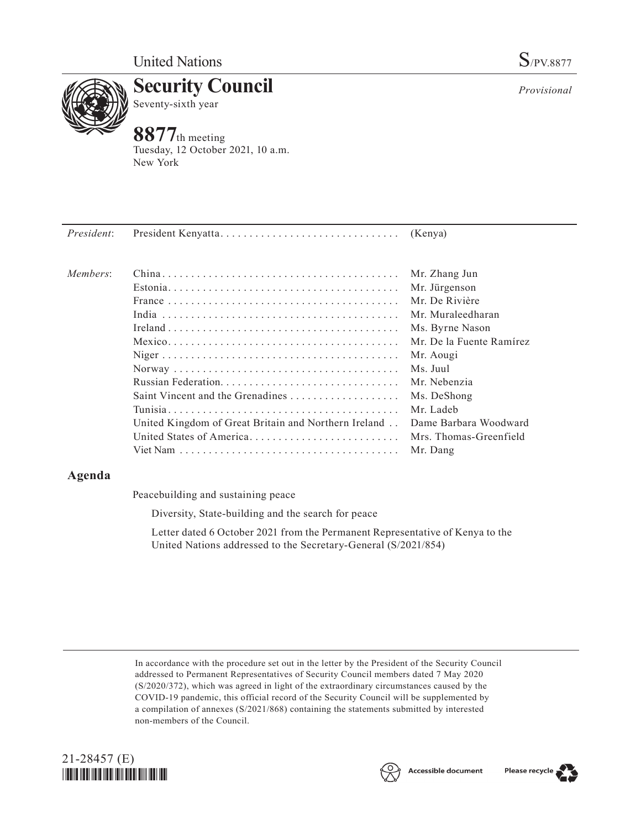

**Security Council** Seventy-sixth year

# **8877**th meeting

Tuesday, 12 October 2021, 10 a.m. New York



## **Agenda**

Peacebuilding and sustaining peace

Diversity, State-building and the search for peace

Letter dated 6 October 2021 from the Permanent Representative of Kenya to the United Nations addressed to the Secretary-General (S/2021/854)

In accordance with the procedure set out in the letter by the President of the Security Council addressed to Permanent Representatives of Security Council members dated 7 May 2020 (S/2020/372), which was agreed in light of the extraordinary circumstances caused by the COVID-19 pandemic, this official record of the Security Council will be supplemented by a compilation of annexes (S/2021/868) containing the statements submitted by interested non-members of the Council.





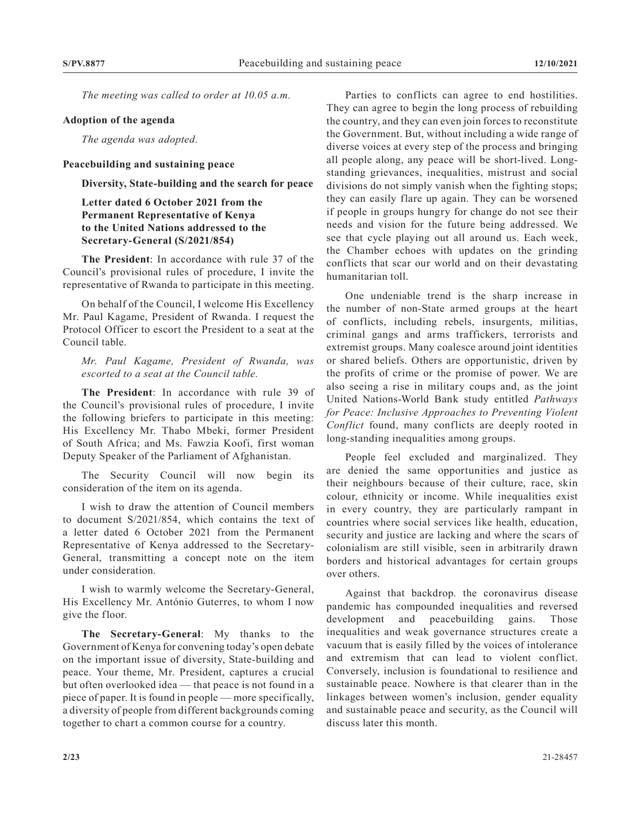*The meeting was called to order at 10.05 a.m.*

#### **Adoption of the agenda**

*The agenda was adopted.*

#### **Peacebuilding and sustaining peace**

**Diversity, State-building and the search for peace**

## **Letter dated 6 October 2021 from the Permanent Representative of Kenya to the United Nations addressed to the Secretary-General (S/2021/854)**

**The President**: In accordance with rule 37 of the Council's provisional rules of procedure, I invite the representative of Rwanda to participate in this meeting.

On behalf of the Council, I welcome His Excellency Mr. Paul Kagame, President of Rwanda. I request the Protocol Officer to escort the President to a seat at the Council table.

*Mr. Paul Kagame, President of Rwanda, was escorted to a seat at the Council table.*

**The President**: In accordance with rule 39 of the Council's provisional rules of procedure, I invite the following briefers to participate in this meeting: His Excellency Mr. Thabo Mbeki, former President of South Africa; and Ms. Fawzia Koofi, first woman Deputy Speaker of the Parliament of Afghanistan.

The Security Council will now begin its consideration of the item on its agenda.

I wish to draw the attention of Council members to document S/2021/854, which contains the text of a letter dated 6 October 2021 from the Permanent Representative of Kenya addressed to the Secretary-General, transmitting a concept note on the item under consideration.

I wish to warmly welcome the Secretary-General, His Excellency Mr. António Guterres, to whom I now give the floor.

**The Secretary-General**: My thanks to the Government of Kenya for convening today's open debate on the important issue of diversity, State-building and peace. Your theme, Mr. President, captures a crucial but often overlooked idea — that peace is not found in a piece of paper. It is found in people — more specifically, a diversity of people from different backgrounds coming together to chart a common course for a country.

Parties to conflicts can agree to end hostilities. They can agree to begin the long process of rebuilding the country, and they can even join forces to reconstitute the Government. But, without including a wide range of diverse voices at every step of the process and bringing all people along, any peace will be short-lived. Longstanding grievances, inequalities, mistrust and social divisions do not simply vanish when the fighting stops; they can easily flare up again. They can be worsened if people in groups hungry for change do not see their needs and vision for the future being addressed. We see that cycle playing out all around us. Each week, the Chamber echoes with updates on the grinding conflicts that scar our world and on their devastating humanitarian toll.

One undeniable trend is the sharp increase in the number of non-State armed groups at the heart of conflicts, including rebels, insurgents, militias, criminal gangs and arms traffickers, terrorists and extremist groups. Many coalesce around joint identities or shared beliefs. Others are opportunistic, driven by the profits of crime or the promise of power. We are also seeing a rise in military coups and, as the joint United Nations-World Bank study entitled *Pathways for Peace: Inclusive Approaches to Preventing Violent Conflict* found, many conflicts are deeply rooted in long-standing inequalities among groups.

People feel excluded and marginalized. They are denied the same opportunities and justice as their neighbours because of their culture, race, skin colour, ethnicity or income. While inequalities exist in every country, they are particularly rampant in countries where social services like health, education, security and justice are lacking and where the scars of colonialism are still visible, seen in arbitrarily drawn borders and historical advantages for certain groups over others.

Against that backdrop. the coronavirus disease pandemic has compounded inequalities and reversed development and peacebuilding gains. Those inequalities and weak governance structures create a vacuum that is easily filled by the voices of intolerance and extremism that can lead to violent conflict. Conversely, inclusion is foundational to resilience and sustainable peace. Nowhere is that clearer than in the linkages between women's inclusion, gender equality and sustainable peace and security, as the Council will discuss later this month.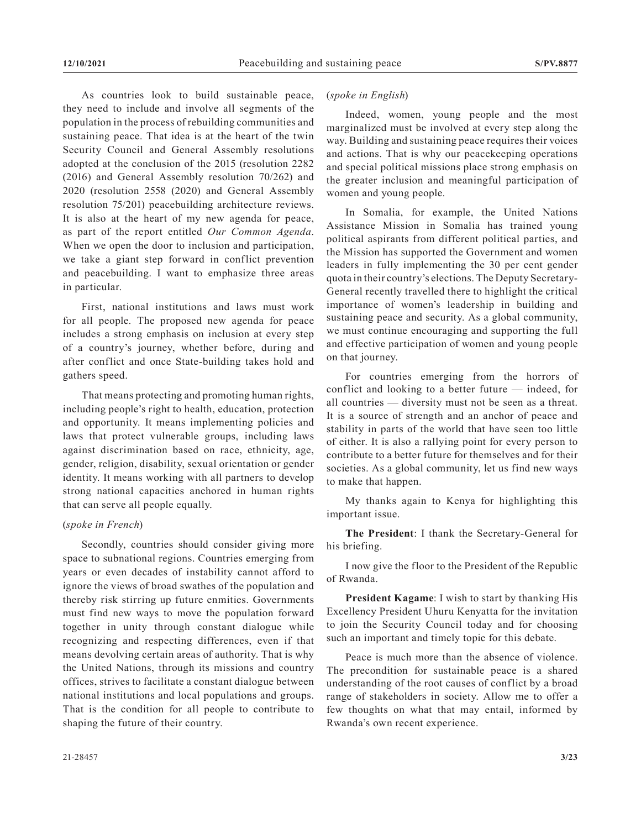As countries look to build sustainable peace, they need to include and involve all segments of the population in the process of rebuilding communities and sustaining peace. That idea is at the heart of the twin Security Council and General Assembly resolutions adopted at the conclusion of the 2015 (resolution 2282 (2016) and General Assembly resolution 70/262) and 2020 (resolution 2558 (2020) and General Assembly resolution 75/201) peacebuilding architecture reviews. It is also at the heart of my new agenda for peace, as part of the report entitled *Our Common Agenda*. When we open the door to inclusion and participation, we take a giant step forward in conflict prevention and peacebuilding. I want to emphasize three areas in particular.

First, national institutions and laws must work for all people. The proposed new agenda for peace includes a strong emphasis on inclusion at every step of a country's journey, whether before, during and after conflict and once State-building takes hold and gathers speed.

That means protecting and promoting human rights, including people's right to health, education, protection and opportunity. It means implementing policies and laws that protect vulnerable groups, including laws against discrimination based on race, ethnicity, age, gender, religion, disability, sexual orientation or gender identity. It means working with all partners to develop strong national capacities anchored in human rights that can serve all people equally.

## (*spoke in French*)

Secondly, countries should consider giving more space to subnational regions. Countries emerging from years or even decades of instability cannot afford to ignore the views of broad swathes of the population and thereby risk stirring up future enmities. Governments must find new ways to move the population forward together in unity through constant dialogue while recognizing and respecting differences, even if that means devolving certain areas of authority. That is why the United Nations, through its missions and country offices, strives to facilitate a constant dialogue between national institutions and local populations and groups. That is the condition for all people to contribute to shaping the future of their country.

## (*spoke in English*)

Indeed, women, young people and the most marginalized must be involved at every step along the way. Building and sustaining peace requires their voices and actions. That is why our peacekeeping operations and special political missions place strong emphasis on the greater inclusion and meaningful participation of women and young people.

In Somalia, for example, the United Nations Assistance Mission in Somalia has trained young political aspirants from different political parties, and the Mission has supported the Government and women leaders in fully implementing the 30 per cent gender quota in their country's elections. The Deputy Secretary-General recently travelled there to highlight the critical importance of women's leadership in building and sustaining peace and security. As a global community, we must continue encouraging and supporting the full and effective participation of women and young people on that journey.

For countries emerging from the horrors of conflict and looking to a better future — indeed, for all countries — diversity must not be seen as a threat. It is a source of strength and an anchor of peace and stability in parts of the world that have seen too little of either. It is also a rallying point for every person to contribute to a better future for themselves and for their societies. As a global community, let us find new ways to make that happen.

My thanks again to Kenya for highlighting this important issue.

**The President**: I thank the Secretary-General for his briefing.

I now give the floor to the President of the Republic of Rwanda.

**President Kagame**: I wish to start by thanking His Excellency President Uhuru Kenyatta for the invitation to join the Security Council today and for choosing such an important and timely topic for this debate.

Peace is much more than the absence of violence. The precondition for sustainable peace is a shared understanding of the root causes of conflict by a broad range of stakeholders in society. Allow me to offer a few thoughts on what that may entail, informed by Rwanda's own recent experience.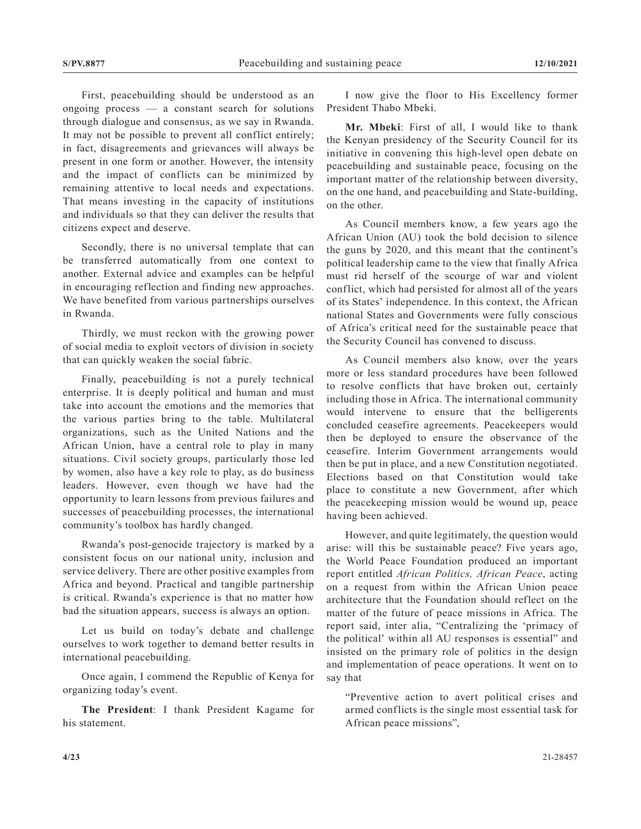First, peacebuilding should be understood as an ongoing process — a constant search for solutions through dialogue and consensus, as we say in Rwanda. It may not be possible to prevent all conflict entirely; in fact, disagreements and grievances will always be present in one form or another. However, the intensity and the impact of conflicts can be minimized by remaining attentive to local needs and expectations. That means investing in the capacity of institutions and individuals so that they can deliver the results that citizens expect and deserve.

Secondly, there is no universal template that can be transferred automatically from one context to another. External advice and examples can be helpful in encouraging reflection and finding new approaches. We have benefited from various partnerships ourselves in Rwanda.

Thirdly, we must reckon with the growing power of social media to exploit vectors of division in society that can quickly weaken the social fabric.

Finally, peacebuilding is not a purely technical enterprise. It is deeply political and human and must take into account the emotions and the memories that the various parties bring to the table. Multilateral organizations, such as the United Nations and the African Union, have a central role to play in many situations. Civil society groups, particularly those led by women, also have a key role to play, as do business leaders. However, even though we have had the opportunity to learn lessons from previous failures and successes of peacebuilding processes, the international community's toolbox has hardly changed.

Rwanda's post-genocide trajectory is marked by a consistent focus on our national unity, inclusion and service delivery. There are other positive examples from Africa and beyond. Practical and tangible partnership is critical. Rwanda's experience is that no matter how bad the situation appears, success is always an option.

Let us build on today's debate and challenge ourselves to work together to demand better results in international peacebuilding.

Once again, I commend the Republic of Kenya for organizing today's event.

**The President**: I thank President Kagame for his statement.

I now give the floor to His Excellency former President Thabo Mbeki.

**Mr. Mbeki**: First of all, I would like to thank the Kenyan presidency of the Security Council for its initiative in convening this high-level open debate on peacebuilding and sustainable peace, focusing on the important matter of the relationship between diversity, on the one hand, and peacebuilding and State-building, on the other.

As Council members know, a few years ago the African Union (AU) took the bold decision to silence the guns by 2020, and this meant that the continent's political leadership came to the view that finally Africa must rid herself of the scourge of war and violent conflict, which had persisted for almost all of the years of its States' independence. In this context, the African national States and Governments were fully conscious of Africa's critical need for the sustainable peace that the Security Council has convened to discuss.

As Council members also know, over the years more or less standard procedures have been followed to resolve conflicts that have broken out, certainly including those in Africa. The international community would intervene to ensure that the belligerents concluded ceasefire agreements. Peacekeepers would then be deployed to ensure the observance of the ceasefire. Interim Government arrangements would then be put in place, and a new Constitution negotiated. Elections based on that Constitution would take place to constitute a new Government, after which the peacekeeping mission would be wound up, peace having been achieved.

However, and quite legitimately, the question would arise: will this be sustainable peace? Five years ago, the World Peace Foundation produced an important report entitled *African Politics, African Peace*, acting on a request from within the African Union peace architecture that the Foundation should reflect on the matter of the future of peace missions in Africa. The report said, inter alia, "Centralizing the 'primacy of the political' within all AU responses is essential" and insisted on the primary role of politics in the design and implementation of peace operations. It went on to say that

"Preventive action to avert political crises and armed conflicts is the single most essential task for African peace missions",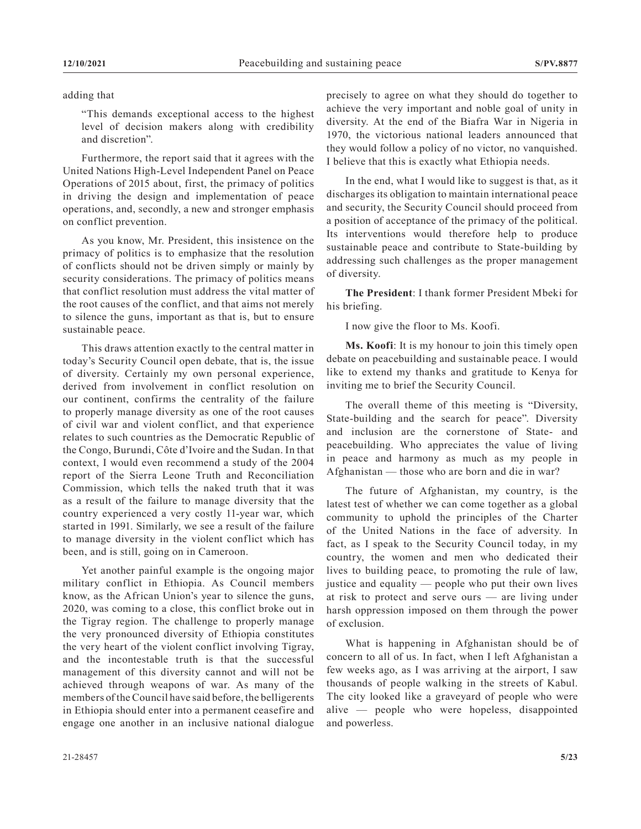## adding that

"This demands exceptional access to the highest level of decision makers along with credibility and discretion".

Furthermore, the report said that it agrees with the United Nations High-Level Independent Panel on Peace Operations of 2015 about, first, the primacy of politics in driving the design and implementation of peace operations, and, secondly, a new and stronger emphasis on conflict prevention.

As you know, Mr. President, this insistence on the primacy of politics is to emphasize that the resolution of conflicts should not be driven simply or mainly by security considerations. The primacy of politics means that conflict resolution must address the vital matter of the root causes of the conflict, and that aims not merely to silence the guns, important as that is, but to ensure sustainable peace.

This draws attention exactly to the central matter in today's Security Council open debate, that is, the issue of diversity. Certainly my own personal experience, derived from involvement in conflict resolution on our continent, confirms the centrality of the failure to properly manage diversity as one of the root causes of civil war and violent conflict, and that experience relates to such countries as the Democratic Republic of the Congo, Burundi, Côte d'Ivoire and the Sudan. In that context, I would even recommend a study of the 2004 report of the Sierra Leone Truth and Reconciliation Commission, which tells the naked truth that it was as a result of the failure to manage diversity that the country experienced a very costly 11-year war, which started in 1991. Similarly, we see a result of the failure to manage diversity in the violent conflict which has been, and is still, going on in Cameroon.

Yet another painful example is the ongoing major military conflict in Ethiopia. As Council members know, as the African Union's year to silence the guns, 2020, was coming to a close, this conflict broke out in the Tigray region. The challenge to properly manage the very pronounced diversity of Ethiopia constitutes the very heart of the violent conflict involving Tigray, and the incontestable truth is that the successful management of this diversity cannot and will not be achieved through weapons of war. As many of the members of the Council have said before, the belligerents in Ethiopia should enter into a permanent ceasefire and engage one another in an inclusive national dialogue

precisely to agree on what they should do together to achieve the very important and noble goal of unity in diversity. At the end of the Biafra War in Nigeria in 1970, the victorious national leaders announced that they would follow a policy of no victor, no vanquished. I believe that this is exactly what Ethiopia needs.

In the end, what I would like to suggest is that, as it discharges its obligation to maintain international peace and security, the Security Council should proceed from a position of acceptance of the primacy of the political. Its interventions would therefore help to produce sustainable peace and contribute to State-building by addressing such challenges as the proper management of diversity.

**The President**: I thank former President Mbeki for his briefing.

I now give the floor to Ms. Koofi.

**Ms. Koofi**: It is my honour to join this timely open debate on peacebuilding and sustainable peace. I would like to extend my thanks and gratitude to Kenya for inviting me to brief the Security Council.

The overall theme of this meeting is "Diversity, State-building and the search for peace". Diversity and inclusion are the cornerstone of State- and peacebuilding. Who appreciates the value of living in peace and harmony as much as my people in Afghanistan — those who are born and die in war?

The future of Afghanistan, my country, is the latest test of whether we can come together as a global community to uphold the principles of the Charter of the United Nations in the face of adversity. In fact, as I speak to the Security Council today, in my country, the women and men who dedicated their lives to building peace, to promoting the rule of law, justice and equality — people who put their own lives at risk to protect and serve ours — are living under harsh oppression imposed on them through the power of exclusion.

What is happening in Afghanistan should be of concern to all of us. In fact, when I left Afghanistan a few weeks ago, as I was arriving at the airport, I saw thousands of people walking in the streets of Kabul. The city looked like a graveyard of people who were alive — people who were hopeless, disappointed and powerless.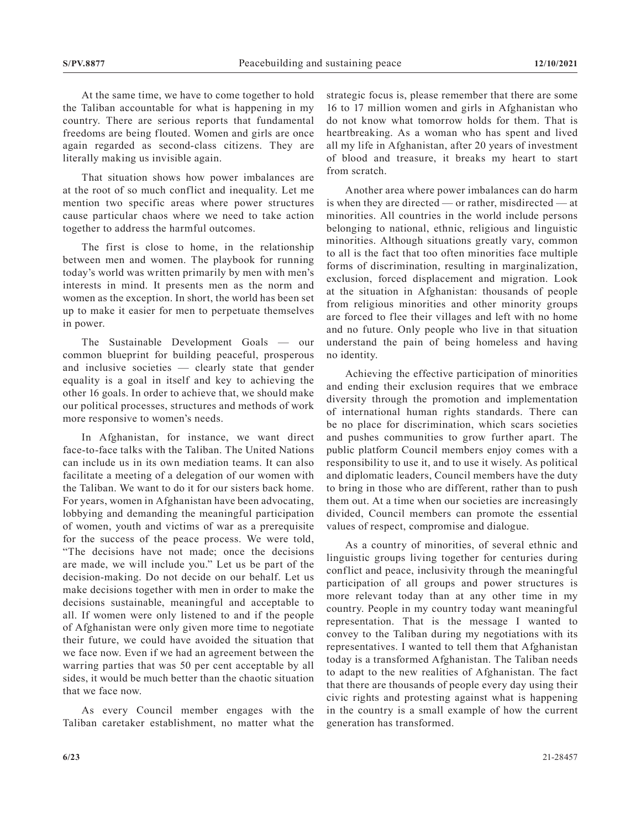At the same time, we have to come together to hold the Taliban accountable for what is happening in my country. There are serious reports that fundamental freedoms are being flouted. Women and girls are once again regarded as second-class citizens. They are literally making us invisible again.

That situation shows how power imbalances are at the root of so much conflict and inequality. Let me mention two specific areas where power structures cause particular chaos where we need to take action together to address the harmful outcomes.

The first is close to home, in the relationship between men and women. The playbook for running today's world was written primarily by men with men's interests in mind. It presents men as the norm and women as the exception. In short, the world has been set up to make it easier for men to perpetuate themselves in power.

The Sustainable Development Goals — our common blueprint for building peaceful, prosperous and inclusive societies — clearly state that gender equality is a goal in itself and key to achieving the other 16 goals. In order to achieve that, we should make our political processes, structures and methods of work more responsive to women's needs.

In Afghanistan, for instance, we want direct face-to-face talks with the Taliban. The United Nations can include us in its own mediation teams. It can also facilitate a meeting of a delegation of our women with the Taliban. We want to do it for our sisters back home. For years, women in Afghanistan have been advocating, lobbying and demanding the meaningful participation of women, youth and victims of war as a prerequisite for the success of the peace process. We were told, "The decisions have not made; once the decisions are made, we will include you." Let us be part of the decision-making. Do not decide on our behalf. Let us make decisions together with men in order to make the decisions sustainable, meaningful and acceptable to all. If women were only listened to and if the people of Afghanistan were only given more time to negotiate their future, we could have avoided the situation that we face now. Even if we had an agreement between the warring parties that was 50 per cent acceptable by all sides, it would be much better than the chaotic situation that we face now.

As every Council member engages with the Taliban caretaker establishment, no matter what the strategic focus is, please remember that there are some 16 to 17 million women and girls in Afghanistan who do not know what tomorrow holds for them. That is heartbreaking. As a woman who has spent and lived all my life in Afghanistan, after 20 years of investment of blood and treasure, it breaks my heart to start from scratch.

Another area where power imbalances can do harm is when they are directed — or rather, misdirected — at minorities. All countries in the world include persons belonging to national, ethnic, religious and linguistic minorities. Although situations greatly vary, common to all is the fact that too often minorities face multiple forms of discrimination, resulting in marginalization, exclusion, forced displacement and migration. Look at the situation in Afghanistan: thousands of people from religious minorities and other minority groups are forced to flee their villages and left with no home and no future. Only people who live in that situation understand the pain of being homeless and having no identity.

Achieving the effective participation of minorities and ending their exclusion requires that we embrace diversity through the promotion and implementation of international human rights standards. There can be no place for discrimination, which scars societies and pushes communities to grow further apart. The public platform Council members enjoy comes with a responsibility to use it, and to use it wisely. As political and diplomatic leaders, Council members have the duty to bring in those who are different, rather than to push them out. At a time when our societies are increasingly divided, Council members can promote the essential values of respect, compromise and dialogue.

As a country of minorities, of several ethnic and linguistic groups living together for centuries during conflict and peace, inclusivity through the meaningful participation of all groups and power structures is more relevant today than at any other time in my country. People in my country today want meaningful representation. That is the message I wanted to convey to the Taliban during my negotiations with its representatives. I wanted to tell them that Afghanistan today is a transformed Afghanistan. The Taliban needs to adapt to the new realities of Afghanistan. The fact that there are thousands of people every day using their civic rights and protesting against what is happening in the country is a small example of how the current generation has transformed.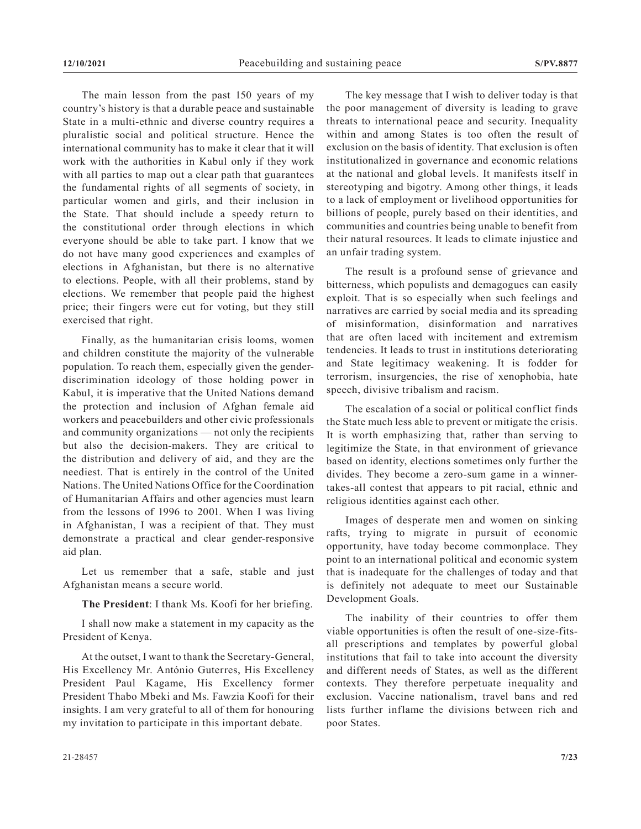The main lesson from the past 150 years of my country's history is that a durable peace and sustainable State in a multi-ethnic and diverse country requires a pluralistic social and political structure. Hence the international community has to make it clear that it will work with the authorities in Kabul only if they work with all parties to map out a clear path that guarantees the fundamental rights of all segments of society, in particular women and girls, and their inclusion in the State. That should include a speedy return to the constitutional order through elections in which everyone should be able to take part. I know that we do not have many good experiences and examples of elections in Afghanistan, but there is no alternative to elections. People, with all their problems, stand by elections. We remember that people paid the highest price; their fingers were cut for voting, but they still exercised that right.

Finally, as the humanitarian crisis looms, women and children constitute the majority of the vulnerable population. To reach them, especially given the genderdiscrimination ideology of those holding power in Kabul, it is imperative that the United Nations demand the protection and inclusion of Afghan female aid workers and peacebuilders and other civic professionals and community organizations — not only the recipients but also the decision-makers. They are critical to the distribution and delivery of aid, and they are the neediest. That is entirely in the control of the United Nations. The United Nations Office for the Coordination of Humanitarian Affairs and other agencies must learn from the lessons of 1996 to 2001. When I was living in Afghanistan, I was a recipient of that. They must demonstrate a practical and clear gender-responsive aid plan.

Let us remember that a safe, stable and just Afghanistan means a secure world.

**The President**: I thank Ms. Koofi for her briefing.

I shall now make a statement in my capacity as the President of Kenya.

At the outset, I want to thank the Secretary-General, His Excellency Mr. António Guterres, His Excellency President Paul Kagame, His Excellency former President Thabo Mbeki and Ms. Fawzia Koofi for their insights. I am very grateful to all of them for honouring my invitation to participate in this important debate.

The key message that I wish to deliver today is that the poor management of diversity is leading to grave threats to international peace and security. Inequality within and among States is too often the result of exclusion on the basis of identity. That exclusion is often institutionalized in governance and economic relations at the national and global levels. It manifests itself in stereotyping and bigotry. Among other things, it leads to a lack of employment or livelihood opportunities for billions of people, purely based on their identities, and communities and countries being unable to benefit from their natural resources. It leads to climate injustice and an unfair trading system.

The result is a profound sense of grievance and bitterness, which populists and demagogues can easily exploit. That is so especially when such feelings and narratives are carried by social media and its spreading of misinformation, disinformation and narratives that are often laced with incitement and extremism tendencies. It leads to trust in institutions deteriorating and State legitimacy weakening. It is fodder for terrorism, insurgencies, the rise of xenophobia, hate speech, divisive tribalism and racism.

The escalation of a social or political conflict finds the State much less able to prevent or mitigate the crisis. It is worth emphasizing that, rather than serving to legitimize the State, in that environment of grievance based on identity, elections sometimes only further the divides. They become a zero-sum game in a winnertakes-all contest that appears to pit racial, ethnic and religious identities against each other.

Images of desperate men and women on sinking rafts, trying to migrate in pursuit of economic opportunity, have today become commonplace. They point to an international political and economic system that is inadequate for the challenges of today and that is definitely not adequate to meet our Sustainable Development Goals.

The inability of their countries to offer them viable opportunities is often the result of one-size-fitsall prescriptions and templates by powerful global institutions that fail to take into account the diversity and different needs of States, as well as the different contexts. They therefore perpetuate inequality and exclusion. Vaccine nationalism, travel bans and red lists further inflame the divisions between rich and poor States.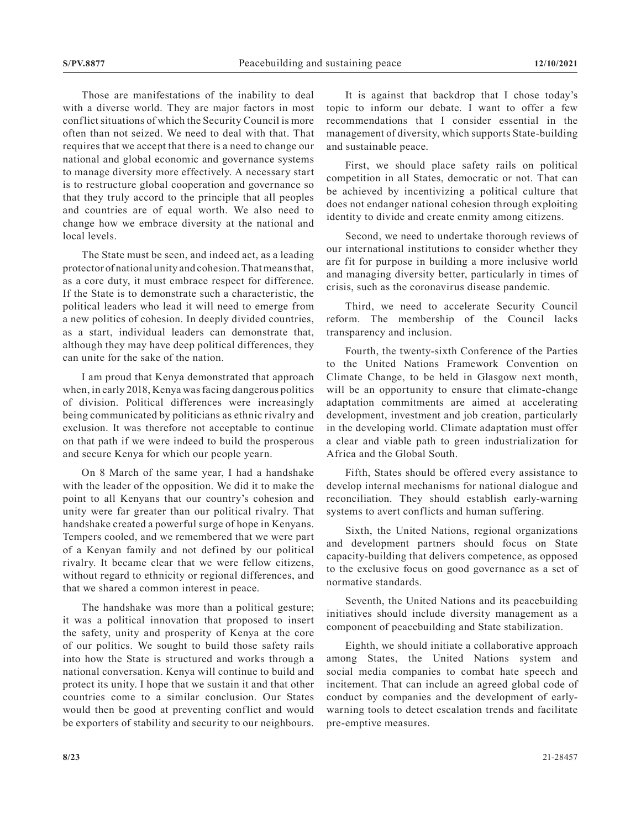Those are manifestations of the inability to deal with a diverse world. They are major factors in most conflict situations of which the Security Council is more often than not seized. We need to deal with that. That requires that we accept that there is a need to change our national and global economic and governance systems to manage diversity more effectively. A necessary start is to restructure global cooperation and governance so that they truly accord to the principle that all peoples and countries are of equal worth. We also need to change how we embrace diversity at the national and local levels.

The State must be seen, and indeed act, as a leading protector of national unity and cohesion. That means that, as a core duty, it must embrace respect for difference. If the State is to demonstrate such a characteristic, the political leaders who lead it will need to emerge from a new politics of cohesion. In deeply divided countries, as a start, individual leaders can demonstrate that, although they may have deep political differences, they can unite for the sake of the nation.

I am proud that Kenya demonstrated that approach when, in early 2018, Kenya was facing dangerous politics of division. Political differences were increasingly being communicated by politicians as ethnic rivalry and exclusion. It was therefore not acceptable to continue on that path if we were indeed to build the prosperous and secure Kenya for which our people yearn.

On 8 March of the same year, I had a handshake with the leader of the opposition. We did it to make the point to all Kenyans that our country's cohesion and unity were far greater than our political rivalry. That handshake created a powerful surge of hope in Kenyans. Tempers cooled, and we remembered that we were part of a Kenyan family and not defined by our political rivalry. It became clear that we were fellow citizens, without regard to ethnicity or regional differences, and that we shared a common interest in peace.

The handshake was more than a political gesture; it was a political innovation that proposed to insert the safety, unity and prosperity of Kenya at the core of our politics. We sought to build those safety rails into how the State is structured and works through a national conversation. Kenya will continue to build and protect its unity. I hope that we sustain it and that other countries come to a similar conclusion. Our States would then be good at preventing conflict and would be exporters of stability and security to our neighbours.

It is against that backdrop that I chose today's topic to inform our debate. I want to offer a few recommendations that I consider essential in the management of diversity, which supports State-building and sustainable peace.

First, we should place safety rails on political competition in all States, democratic or not. That can be achieved by incentivizing a political culture that does not endanger national cohesion through exploiting identity to divide and create enmity among citizens.

Second, we need to undertake thorough reviews of our international institutions to consider whether they are fit for purpose in building a more inclusive world and managing diversity better, particularly in times of crisis, such as the coronavirus disease pandemic.

Third, we need to accelerate Security Council reform. The membership of the Council lacks transparency and inclusion.

Fourth, the twenty-sixth Conference of the Parties to the United Nations Framework Convention on Climate Change, to be held in Glasgow next month, will be an opportunity to ensure that climate-change adaptation commitments are aimed at accelerating development, investment and job creation, particularly in the developing world. Climate adaptation must offer a clear and viable path to green industrialization for Africa and the Global South.

Fifth, States should be offered every assistance to develop internal mechanisms for national dialogue and reconciliation. They should establish early-warning systems to avert conflicts and human suffering.

Sixth, the United Nations, regional organizations and development partners should focus on State capacity-building that delivers competence, as opposed to the exclusive focus on good governance as a set of normative standards.

Seventh, the United Nations and its peacebuilding initiatives should include diversity management as a component of peacebuilding and State stabilization.

Eighth, we should initiate a collaborative approach among States, the United Nations system and social media companies to combat hate speech and incitement. That can include an agreed global code of conduct by companies and the development of earlywarning tools to detect escalation trends and facilitate pre-emptive measures.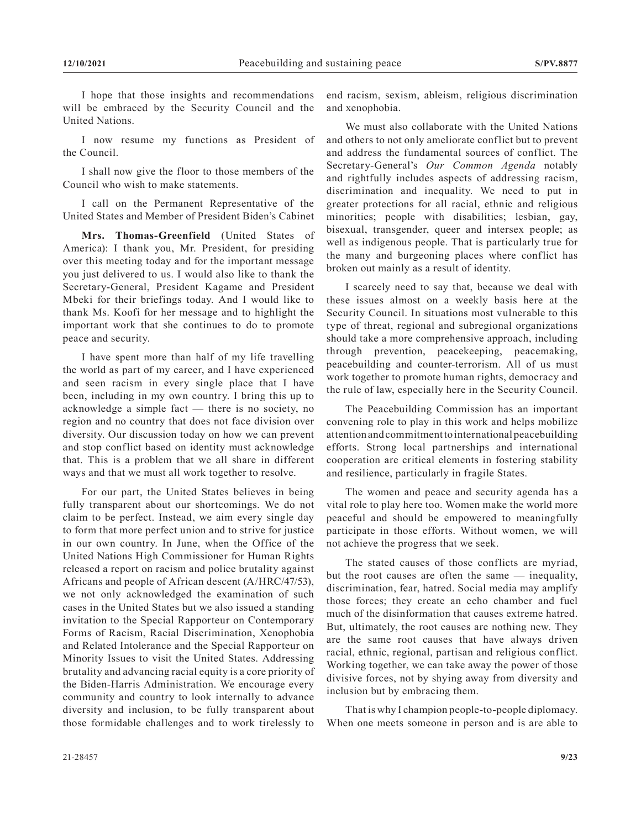I hope that those insights and recommendations will be embraced by the Security Council and the United Nations.

I now resume my functions as President of the Council.

I shall now give the floor to those members of the Council who wish to make statements.

I call on the Permanent Representative of the United States and Member of President Biden's Cabinet

**Mrs. Thomas-Greenfield** (United States of America): I thank you, Mr. President, for presiding over this meeting today and for the important message you just delivered to us. I would also like to thank the Secretary-General, President Kagame and President Mbeki for their briefings today. And I would like to thank Ms. Koofi for her message and to highlight the important work that she continues to do to promote peace and security.

I have spent more than half of my life travelling the world as part of my career, and I have experienced and seen racism in every single place that I have been, including in my own country. I bring this up to acknowledge a simple fact — there is no society, no region and no country that does not face division over diversity. Our discussion today on how we can prevent and stop conflict based on identity must acknowledge that. This is a problem that we all share in different ways and that we must all work together to resolve.

For our part, the United States believes in being fully transparent about our shortcomings. We do not claim to be perfect. Instead, we aim every single day to form that more perfect union and to strive for justice in our own country. In June, when the Office of the United Nations High Commissioner for Human Rights released a report on racism and police brutality against Africans and people of African descent (A/HRC/47/53), we not only acknowledged the examination of such cases in the United States but we also issued a standing invitation to the Special Rapporteur on Contemporary Forms of Racism, Racial Discrimination, Xenophobia and Related Intolerance and the Special Rapporteur on Minority Issues to visit the United States. Addressing brutality and advancing racial equity is a core priority of the Biden-Harris Administration. We encourage every community and country to look internally to advance diversity and inclusion, to be fully transparent about those formidable challenges and to work tirelessly to

end racism, sexism, ableism, religious discrimination and xenophobia.

We must also collaborate with the United Nations and others to not only ameliorate conflict but to prevent and address the fundamental sources of conflict. The Secretary-General's *Our Common Agenda* notably and rightfully includes aspects of addressing racism, discrimination and inequality. We need to put in greater protections for all racial, ethnic and religious minorities; people with disabilities; lesbian, gay, bisexual, transgender, queer and intersex people; as well as indigenous people. That is particularly true for the many and burgeoning places where conflict has broken out mainly as a result of identity.

I scarcely need to say that, because we deal with these issues almost on a weekly basis here at the Security Council. In situations most vulnerable to this type of threat, regional and subregional organizations should take a more comprehensive approach, including through prevention, peacekeeping, peacemaking, peacebuilding and counter-terrorism. All of us must work together to promote human rights, democracy and the rule of law, especially here in the Security Council.

The Peacebuilding Commission has an important convening role to play in this work and helps mobilize attention and commitment to international peacebuilding efforts. Strong local partnerships and international cooperation are critical elements in fostering stability and resilience, particularly in fragile States.

The women and peace and security agenda has a vital role to play here too. Women make the world more peaceful and should be empowered to meaningfully participate in those efforts. Without women, we will not achieve the progress that we seek.

The stated causes of those conflicts are myriad, but the root causes are often the same — inequality, discrimination, fear, hatred. Social media may amplify those forces; they create an echo chamber and fuel much of the disinformation that causes extreme hatred. But, ultimately, the root causes are nothing new. They are the same root causes that have always driven racial, ethnic, regional, partisan and religious conflict. Working together, we can take away the power of those divisive forces, not by shying away from diversity and inclusion but by embracing them.

That is why I champion people-to-people diplomacy. When one meets someone in person and is are able to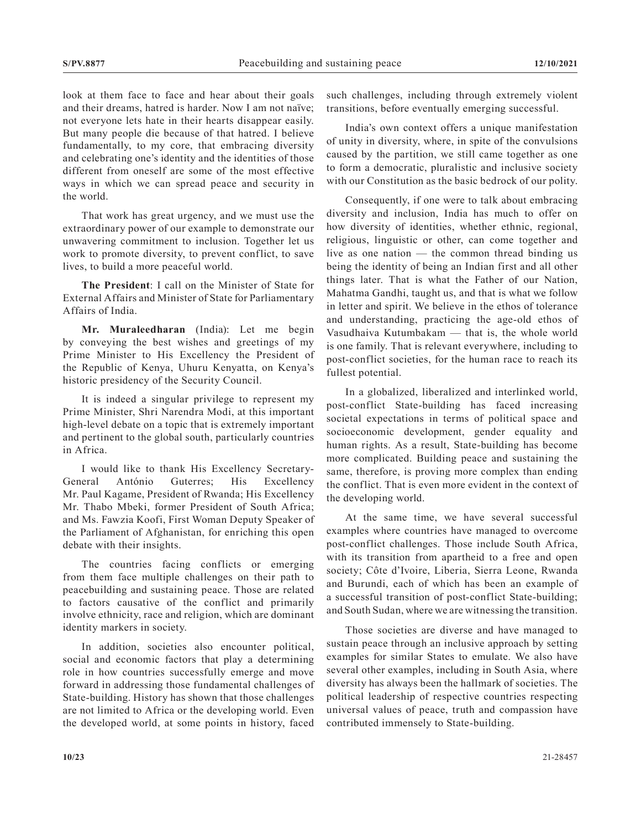look at them face to face and hear about their goals and their dreams, hatred is harder. Now I am not naïve; not everyone lets hate in their hearts disappear easily. But many people die because of that hatred. I believe fundamentally, to my core, that embracing diversity and celebrating one's identity and the identities of those different from oneself are some of the most effective ways in which we can spread peace and security in the world.

That work has great urgency, and we must use the extraordinary power of our example to demonstrate our unwavering commitment to inclusion. Together let us work to promote diversity, to prevent conflict, to save lives, to build a more peaceful world.

**The President**: I call on the Minister of State for External Affairs and Minister of State for Parliamentary Affairs of India.

**Mr. Muraleedharan** (India): Let me begin by conveying the best wishes and greetings of my Prime Minister to His Excellency the President of the Republic of Kenya, Uhuru Kenyatta, on Kenya's historic presidency of the Security Council.

It is indeed a singular privilege to represent my Prime Minister, Shri Narendra Modi, at this important high-level debate on a topic that is extremely important and pertinent to the global south, particularly countries in Africa.

I would like to thank His Excellency Secretary-General António Guterres; His Excellency Mr. Paul Kagame, President of Rwanda; His Excellency Mr. Thabo Mbeki, former President of South Africa; and Ms. Fawzia Koofi, First Woman Deputy Speaker of the Parliament of Afghanistan, for enriching this open debate with their insights.

The countries facing conflicts or emerging from them face multiple challenges on their path to peacebuilding and sustaining peace. Those are related to factors causative of the conflict and primarily involve ethnicity, race and religion, which are dominant identity markers in society.

In addition, societies also encounter political, social and economic factors that play a determining role in how countries successfully emerge and move forward in addressing those fundamental challenges of State-building. History has shown that those challenges are not limited to Africa or the developing world. Even the developed world, at some points in history, faced

such challenges, including through extremely violent transitions, before eventually emerging successful.

India's own context offers a unique manifestation of unity in diversity, where, in spite of the convulsions caused by the partition, we still came together as one to form a democratic, pluralistic and inclusive society with our Constitution as the basic bedrock of our polity.

Consequently, if one were to talk about embracing diversity and inclusion, India has much to offer on how diversity of identities, whether ethnic, regional, religious, linguistic or other, can come together and live as one nation — the common thread binding us being the identity of being an Indian first and all other things later. That is what the Father of our Nation, Mahatma Gandhi, taught us, and that is what we follow in letter and spirit. We believe in the ethos of tolerance and understanding, practicing the age-old ethos of Vasudhaiva Kutumbakam — that is, the whole world is one family. That is relevant everywhere, including to post-conflict societies, for the human race to reach its fullest potential.

In a globalized, liberalized and interlinked world, post-conflict State-building has faced increasing societal expectations in terms of political space and socioeconomic development, gender equality and human rights. As a result, State-building has become more complicated. Building peace and sustaining the same, therefore, is proving more complex than ending the conflict. That is even more evident in the context of the developing world.

At the same time, we have several successful examples where countries have managed to overcome post-conflict challenges. Those include South Africa, with its transition from apartheid to a free and open society; Côte d'Ivoire, Liberia, Sierra Leone, Rwanda and Burundi, each of which has been an example of a successful transition of post-conflict State-building; and South Sudan, where we are witnessing the transition.

Those societies are diverse and have managed to sustain peace through an inclusive approach by setting examples for similar States to emulate. We also have several other examples, including in South Asia, where diversity has always been the hallmark of societies. The political leadership of respective countries respecting universal values of peace, truth and compassion have contributed immensely to State-building.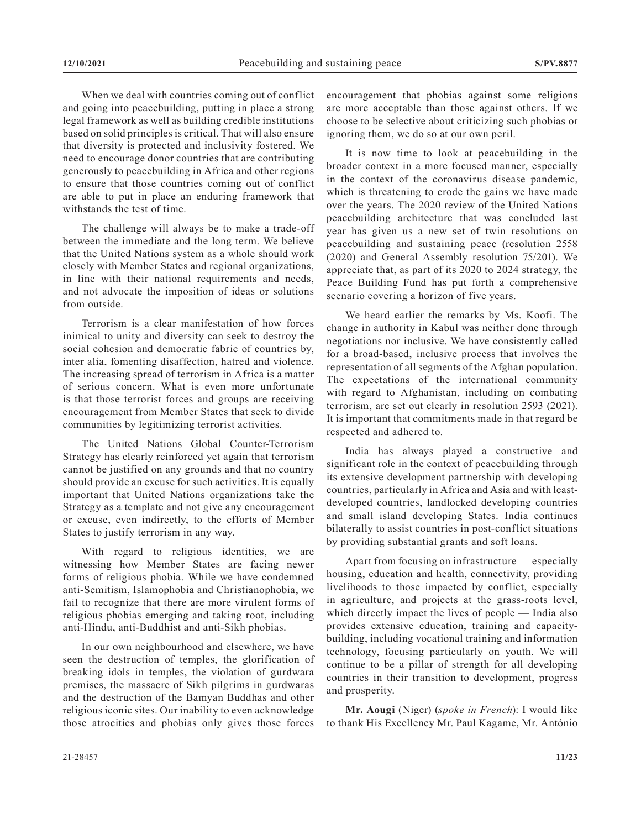When we deal with countries coming out of conflict and going into peacebuilding, putting in place a strong legal framework as well as building credible institutions based on solid principles is critical. That will also ensure that diversity is protected and inclusivity fostered. We need to encourage donor countries that are contributing generously to peacebuilding in Africa and other regions to ensure that those countries coming out of conflict are able to put in place an enduring framework that withstands the test of time.

The challenge will always be to make a trade-off between the immediate and the long term. We believe that the United Nations system as a whole should work closely with Member States and regional organizations, in line with their national requirements and needs, and not advocate the imposition of ideas or solutions from outside.

Terrorism is a clear manifestation of how forces inimical to unity and diversity can seek to destroy the social cohesion and democratic fabric of countries by, inter alia, fomenting disaffection, hatred and violence. The increasing spread of terrorism in Africa is a matter of serious concern. What is even more unfortunate is that those terrorist forces and groups are receiving encouragement from Member States that seek to divide communities by legitimizing terrorist activities.

The United Nations Global Counter-Terrorism Strategy has clearly reinforced yet again that terrorism cannot be justified on any grounds and that no country should provide an excuse for such activities. It is equally important that United Nations organizations take the Strategy as a template and not give any encouragement or excuse, even indirectly, to the efforts of Member States to justify terrorism in any way.

With regard to religious identities, we are witnessing how Member States are facing newer forms of religious phobia. While we have condemned anti-Semitism, Islamophobia and Christianophobia, we fail to recognize that there are more virulent forms of religious phobias emerging and taking root, including anti-Hindu, anti-Buddhist and anti-Sikh phobias.

In our own neighbourhood and elsewhere, we have seen the destruction of temples, the glorification of breaking idols in temples, the violation of gurdwara premises, the massacre of Sikh pilgrims in gurdwaras and the destruction of the Bamyan Buddhas and other religious iconic sites. Our inability to even acknowledge those atrocities and phobias only gives those forces

encouragement that phobias against some religions are more acceptable than those against others. If we choose to be selective about criticizing such phobias or ignoring them, we do so at our own peril.

It is now time to look at peacebuilding in the broader context in a more focused manner, especially in the context of the coronavirus disease pandemic, which is threatening to erode the gains we have made over the years. The 2020 review of the United Nations peacebuilding architecture that was concluded last year has given us a new set of twin resolutions on peacebuilding and sustaining peace (resolution 2558 (2020) and General Assembly resolution 75/201). We appreciate that, as part of its 2020 to 2024 strategy, the Peace Building Fund has put forth a comprehensive scenario covering a horizon of five years.

We heard earlier the remarks by Ms. Koofi. The change in authority in Kabul was neither done through negotiations nor inclusive. We have consistently called for a broad-based, inclusive process that involves the representation of all segments of the Afghan population. The expectations of the international community with regard to Afghanistan, including on combating terrorism, are set out clearly in resolution 2593 (2021). It is important that commitments made in that regard be respected and adhered to.

India has always played a constructive and significant role in the context of peacebuilding through its extensive development partnership with developing countries, particularly in Africa and Asia and with leastdeveloped countries, landlocked developing countries and small island developing States. India continues bilaterally to assist countries in post-conflict situations by providing substantial grants and soft loans.

Apart from focusing on infrastructure — especially housing, education and health, connectivity, providing livelihoods to those impacted by conflict, especially in agriculture, and projects at the grass-roots level, which directly impact the lives of people — India also provides extensive education, training and capacitybuilding, including vocational training and information technology, focusing particularly on youth. We will continue to be a pillar of strength for all developing countries in their transition to development, progress and prosperity.

**Mr. Aougi** (Niger) (*spoke in French*): I would like to thank His Excellency Mr. Paul Kagame, Mr. António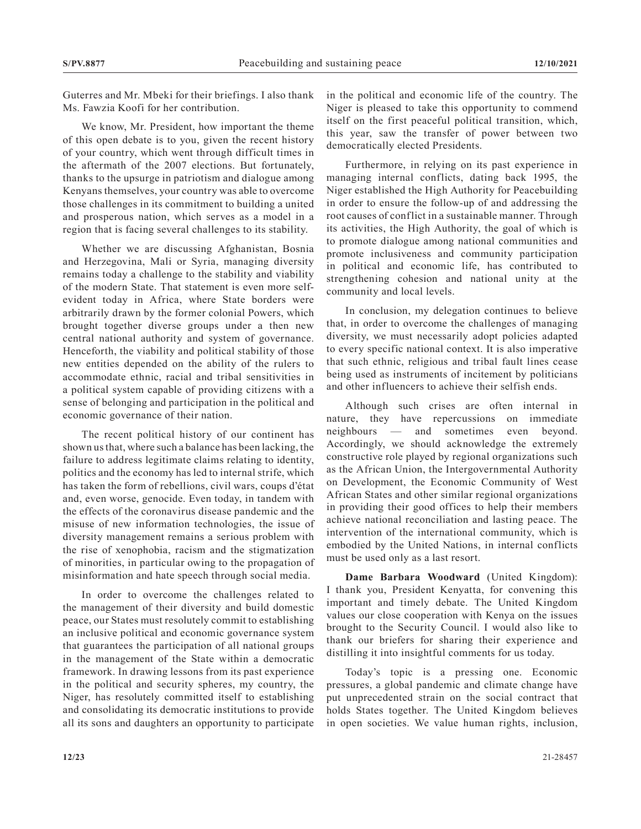Guterres and Mr. Mbeki for their briefings. I also thank Ms. Fawzia Koofi for her contribution.

We know, Mr. President, how important the theme of this open debate is to you, given the recent history of your country, which went through difficult times in the aftermath of the 2007 elections. But fortunately, thanks to the upsurge in patriotism and dialogue among Kenyans themselves, your country was able to overcome those challenges in its commitment to building a united and prosperous nation, which serves as a model in a region that is facing several challenges to its stability.

Whether we are discussing Afghanistan, Bosnia and Herzegovina, Mali or Syria, managing diversity remains today a challenge to the stability and viability of the modern State. That statement is even more selfevident today in Africa, where State borders were arbitrarily drawn by the former colonial Powers, which brought together diverse groups under a then new central national authority and system of governance. Henceforth, the viability and political stability of those new entities depended on the ability of the rulers to accommodate ethnic, racial and tribal sensitivities in a political system capable of providing citizens with a sense of belonging and participation in the political and economic governance of their nation.

The recent political history of our continent has shown us that, where such a balance has been lacking, the failure to address legitimate claims relating to identity, politics and the economy has led to internal strife, which has taken the form of rebellions, civil wars, coups d'état and, even worse, genocide. Even today, in tandem with the effects of the coronavirus disease pandemic and the misuse of new information technologies, the issue of diversity management remains a serious problem with the rise of xenophobia, racism and the stigmatization of minorities, in particular owing to the propagation of misinformation and hate speech through social media.

In order to overcome the challenges related to the management of their diversity and build domestic peace, our States must resolutely commit to establishing an inclusive political and economic governance system that guarantees the participation of all national groups in the management of the State within a democratic framework. In drawing lessons from its past experience in the political and security spheres, my country, the Niger, has resolutely committed itself to establishing and consolidating its democratic institutions to provide all its sons and daughters an opportunity to participate

in the political and economic life of the country. The Niger is pleased to take this opportunity to commend itself on the first peaceful political transition, which, this year, saw the transfer of power between two democratically elected Presidents.

Furthermore, in relying on its past experience in managing internal conflicts, dating back 1995, the Niger established the High Authority for Peacebuilding in order to ensure the follow-up of and addressing the root causes of conflict in a sustainable manner. Through its activities, the High Authority, the goal of which is to promote dialogue among national communities and promote inclusiveness and community participation in political and economic life, has contributed to strengthening cohesion and national unity at the community and local levels.

In conclusion, my delegation continues to believe that, in order to overcome the challenges of managing diversity, we must necessarily adopt policies adapted to every specific national context. It is also imperative that such ethnic, religious and tribal fault lines cease being used as instruments of incitement by politicians and other influencers to achieve their selfish ends.

Although such crises are often internal in nature, they have repercussions on immediate neighbours — and sometimes even beyond. Accordingly, we should acknowledge the extremely constructive role played by regional organizations such as the African Union, the Intergovernmental Authority on Development, the Economic Community of West African States and other similar regional organizations in providing their good offices to help their members achieve national reconciliation and lasting peace. The intervention of the international community, which is embodied by the United Nations, in internal conflicts must be used only as a last resort.

**Dame Barbara Woodward** (United Kingdom): I thank you, President Kenyatta, for convening this important and timely debate. The United Kingdom values our close cooperation with Kenya on the issues brought to the Security Council. I would also like to thank our briefers for sharing their experience and distilling it into insightful comments for us today.

Today's topic is a pressing one. Economic pressures, a global pandemic and climate change have put unprecedented strain on the social contract that holds States together. The United Kingdom believes in open societies. We value human rights, inclusion,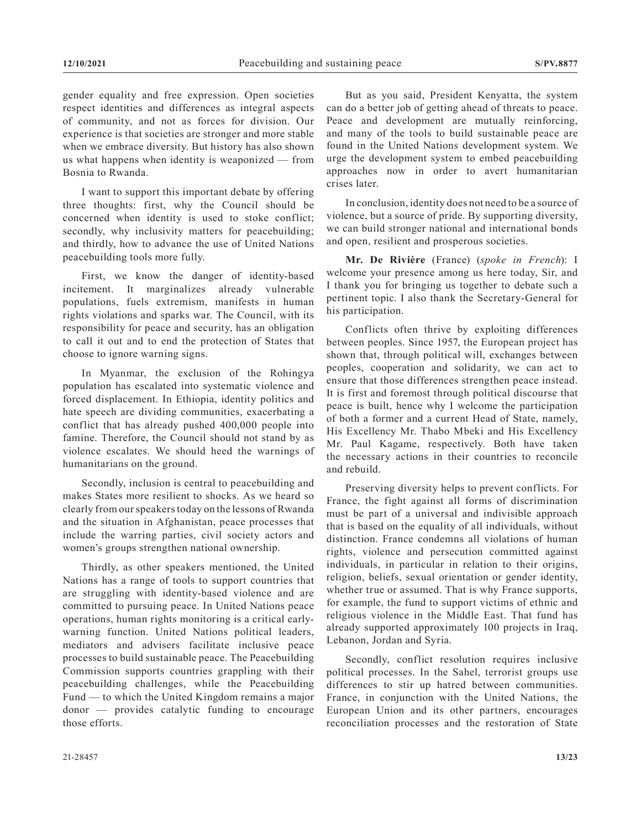gender equality and free expression. Open societies respect identities and differences as integral aspects of community, and not as forces for division. Our experience is that societies are stronger and more stable when we embrace diversity. But history has also shown us what happens when identity is weaponized — from Bosnia to Rwanda.

I want to support this important debate by offering three thoughts: first, why the Council should be concerned when identity is used to stoke conflict; secondly, why inclusivity matters for peacebuilding; and thirdly, how to advance the use of United Nations peacebuilding tools more fully.

First, we know the danger of identity-based incitement. It marginalizes already vulnerable populations, fuels extremism, manifests in human rights violations and sparks war. The Council, with its responsibility for peace and security, has an obligation to call it out and to end the protection of States that choose to ignore warning signs.

In Myanmar, the exclusion of the Rohingya population has escalated into systematic violence and forced displacement. In Ethiopia, identity politics and hate speech are dividing communities, exacerbating a conflict that has already pushed 400,000 people into famine. Therefore, the Council should not stand by as violence escalates. We should heed the warnings of humanitarians on the ground.

Secondly, inclusion is central to peacebuilding and makes States more resilient to shocks. As we heard so clearly from our speakers today on the lessons of Rwanda and the situation in Afghanistan, peace processes that include the warring parties, civil society actors and women's groups strengthen national ownership.

Thirdly, as other speakers mentioned, the United Nations has a range of tools to support countries that are struggling with identity-based violence and are committed to pursuing peace. In United Nations peace operations, human rights monitoring is a critical earlywarning function. United Nations political leaders, mediators and advisers facilitate inclusive peace processes to build sustainable peace. The Peacebuilding Commission supports countries grappling with their peacebuilding challenges, while the Peacebuilding Fund — to which the United Kingdom remains a major donor — provides catalytic funding to encourage those efforts.

But as you said, President Kenyatta, the system can do a better job of getting ahead of threats to peace. Peace and development are mutually reinforcing, and many of the tools to build sustainable peace are found in the United Nations development system. We urge the development system to embed peacebuilding approaches now in order to avert humanitarian crises later.

In conclusion, identity does not need to be a source of violence, but a source of pride. By supporting diversity, we can build stronger national and international bonds and open, resilient and prosperous societies.

**Mr. De Rivière** (France) (*spoke in French*): I welcome your presence among us here today, Sir, and I thank you for bringing us together to debate such a pertinent topic. I also thank the Secretary-General for his participation.

Conflicts often thrive by exploiting differences between peoples. Since 1957, the European project has shown that, through political will, exchanges between peoples, cooperation and solidarity, we can act to ensure that those differences strengthen peace instead. It is first and foremost through political discourse that peace is built, hence why I welcome the participation of both a former and a current Head of State, namely, His Excellency Mr. Thabo Mbeki and His Excellency Mr. Paul Kagame, respectively. Both have taken the necessary actions in their countries to reconcile and rebuild.

Preserving diversity helps to prevent conflicts. For France, the fight against all forms of discrimination must be part of a universal and indivisible approach that is based on the equality of all individuals, without distinction. France condemns all violations of human rights, violence and persecution committed against individuals, in particular in relation to their origins, religion, beliefs, sexual orientation or gender identity, whether true or assumed. That is why France supports, for example, the fund to support victims of ethnic and religious violence in the Middle East. That fund has already supported approximately 100 projects in Iraq, Lebanon, Jordan and Syria.

Secondly, conflict resolution requires inclusive political processes. In the Sahel, terrorist groups use differences to stir up hatred between communities. France, in conjunction with the United Nations, the European Union and its other partners, encourages reconciliation processes and the restoration of State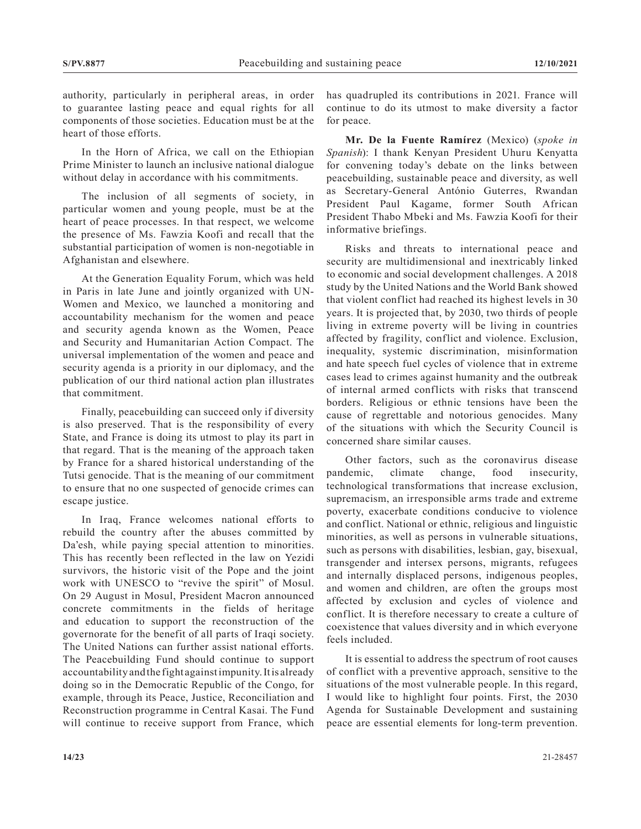authority, particularly in peripheral areas, in order to guarantee lasting peace and equal rights for all components of those societies. Education must be at the heart of those efforts.

In the Horn of Africa, we call on the Ethiopian Prime Minister to launch an inclusive national dialogue without delay in accordance with his commitments.

The inclusion of all segments of society, in particular women and young people, must be at the heart of peace processes. In that respect, we welcome the presence of Ms. Fawzia Koofi and recall that the substantial participation of women is non-negotiable in Afghanistan and elsewhere.

At the Generation Equality Forum, which was held in Paris in late June and jointly organized with UN-Women and Mexico, we launched a monitoring and accountability mechanism for the women and peace and security agenda known as the Women, Peace and Security and Humanitarian Action Compact. The universal implementation of the women and peace and security agenda is a priority in our diplomacy, and the publication of our third national action plan illustrates that commitment.

Finally, peacebuilding can succeed only if diversity is also preserved. That is the responsibility of every State, and France is doing its utmost to play its part in that regard. That is the meaning of the approach taken by France for a shared historical understanding of the Tutsi genocide. That is the meaning of our commitment to ensure that no one suspected of genocide crimes can escape justice.

In Iraq, France welcomes national efforts to rebuild the country after the abuses committed by Da'esh, while paying special attention to minorities. This has recently been reflected in the law on Yezidi survivors, the historic visit of the Pope and the joint work with UNESCO to "revive the spirit" of Mosul. On 29 August in Mosul, President Macron announced concrete commitments in the fields of heritage and education to support the reconstruction of the governorate for the benefit of all parts of Iraqi society. The United Nations can further assist national efforts. The Peacebuilding Fund should continue to support accountability and the fight against impunity. It is already doing so in the Democratic Republic of the Congo, for example, through its Peace, Justice, Reconciliation and Reconstruction programme in Central Kasai. The Fund will continue to receive support from France, which

has quadrupled its contributions in 2021. France will continue to do its utmost to make diversity a factor for peace.

**Mr. De la Fuente Ramírez** (Mexico) (*spoke in Spanish*): I thank Kenyan President Uhuru Kenyatta for convening today's debate on the links between peacebuilding, sustainable peace and diversity, as well as Secretary-General António Guterres, Rwandan President Paul Kagame, former South African President Thabo Mbeki and Ms. Fawzia Koofi for their informative briefings.

Risks and threats to international peace and security are multidimensional and inextricably linked to economic and social development challenges. A 2018 study by the United Nations and the World Bank showed that violent conflict had reached its highest levels in 30 years. It is projected that, by 2030, two thirds of people living in extreme poverty will be living in countries affected by fragility, conflict and violence. Exclusion, inequality, systemic discrimination, misinformation and hate speech fuel cycles of violence that in extreme cases lead to crimes against humanity and the outbreak of internal armed conflicts with risks that transcend borders. Religious or ethnic tensions have been the cause of regrettable and notorious genocides. Many of the situations with which the Security Council is concerned share similar causes.

Other factors, such as the coronavirus disease pandemic, climate change, food insecurity, technological transformations that increase exclusion, supremacism, an irresponsible arms trade and extreme poverty, exacerbate conditions conducive to violence and conflict. National or ethnic, religious and linguistic minorities, as well as persons in vulnerable situations, such as persons with disabilities, lesbian, gay, bisexual, transgender and intersex persons, migrants, refugees and internally displaced persons, indigenous peoples, and women and children, are often the groups most affected by exclusion and cycles of violence and conflict. It is therefore necessary to create a culture of coexistence that values diversity and in which everyone feels included.

It is essential to address the spectrum of root causes of conflict with a preventive approach, sensitive to the situations of the most vulnerable people. In this regard, I would like to highlight four points. First, the 2030 Agenda for Sustainable Development and sustaining peace are essential elements for long-term prevention.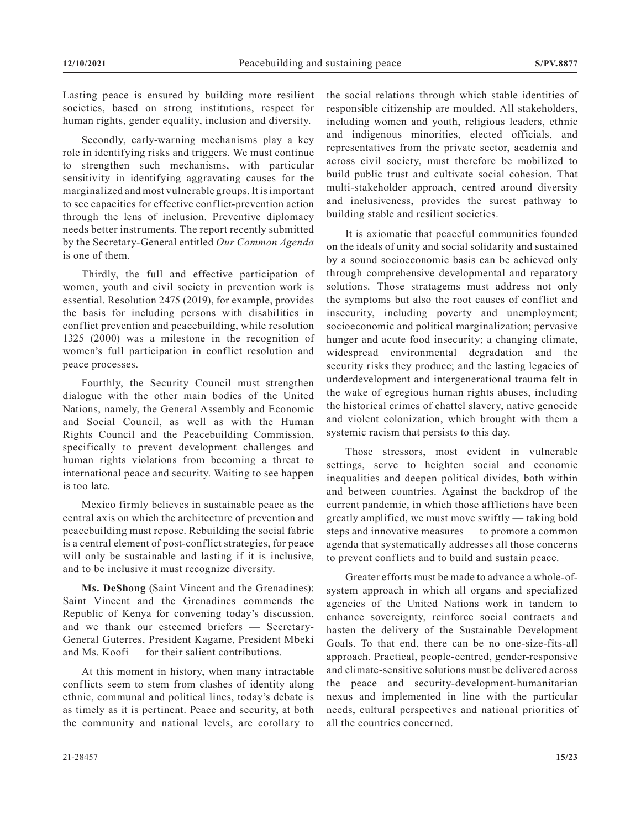Lasting peace is ensured by building more resilient societies, based on strong institutions, respect for human rights, gender equality, inclusion and diversity.

Secondly, early-warning mechanisms play a key role in identifying risks and triggers. We must continue to strengthen such mechanisms, with particular sensitivity in identifying aggravating causes for the marginalized and most vulnerable groups. It is important to see capacities for effective conflict-prevention action through the lens of inclusion. Preventive diplomacy needs better instruments. The report recently submitted by the Secretary-General entitled *Our Common Agenda* is one of them.

Thirdly, the full and effective participation of women, youth and civil society in prevention work is essential. Resolution 2475 (2019), for example, provides the basis for including persons with disabilities in conflict prevention and peacebuilding, while resolution 1325 (2000) was a milestone in the recognition of women's full participation in conflict resolution and peace processes.

Fourthly, the Security Council must strengthen dialogue with the other main bodies of the United Nations, namely, the General Assembly and Economic and Social Council, as well as with the Human Rights Council and the Peacebuilding Commission, specifically to prevent development challenges and human rights violations from becoming a threat to international peace and security. Waiting to see happen is too late.

Mexico firmly believes in sustainable peace as the central axis on which the architecture of prevention and peacebuilding must repose. Rebuilding the social fabric is a central element of post-conflict strategies, for peace will only be sustainable and lasting if it is inclusive, and to be inclusive it must recognize diversity.

**Ms. DeShong** (Saint Vincent and the Grenadines): Saint Vincent and the Grenadines commends the Republic of Kenya for convening today's discussion, and we thank our esteemed briefers — Secretary-General Guterres, President Kagame, President Mbeki and Ms. Koofi — for their salient contributions.

At this moment in history, when many intractable conflicts seem to stem from clashes of identity along ethnic, communal and political lines, today's debate is as timely as it is pertinent. Peace and security, at both the community and national levels, are corollary to the social relations through which stable identities of responsible citizenship are moulded. All stakeholders, including women and youth, religious leaders, ethnic and indigenous minorities, elected officials, and representatives from the private sector, academia and across civil society, must therefore be mobilized to build public trust and cultivate social cohesion. That multi-stakeholder approach, centred around diversity and inclusiveness, provides the surest pathway to building stable and resilient societies.

It is axiomatic that peaceful communities founded on the ideals of unity and social solidarity and sustained by a sound socioeconomic basis can be achieved only through comprehensive developmental and reparatory solutions. Those stratagems must address not only the symptoms but also the root causes of conflict and insecurity, including poverty and unemployment; socioeconomic and political marginalization; pervasive hunger and acute food insecurity; a changing climate, widespread environmental degradation and the security risks they produce; and the lasting legacies of underdevelopment and intergenerational trauma felt in the wake of egregious human rights abuses, including the historical crimes of chattel slavery, native genocide and violent colonization, which brought with them a systemic racism that persists to this day.

Those stressors, most evident in vulnerable settings, serve to heighten social and economic inequalities and deepen political divides, both within and between countries. Against the backdrop of the current pandemic, in which those afflictions have been greatly amplified, we must move swiftly — taking bold steps and innovative measures — to promote a common agenda that systematically addresses all those concerns to prevent conflicts and to build and sustain peace.

Greater efforts must be made to advance a whole-ofsystem approach in which all organs and specialized agencies of the United Nations work in tandem to enhance sovereignty, reinforce social contracts and hasten the delivery of the Sustainable Development Goals. To that end, there can be no one-size-fits-all approach. Practical, people-centred, gender-responsive and climate-sensitive solutions must be delivered across the peace and security-development-humanitarian nexus and implemented in line with the particular needs, cultural perspectives and national priorities of all the countries concerned.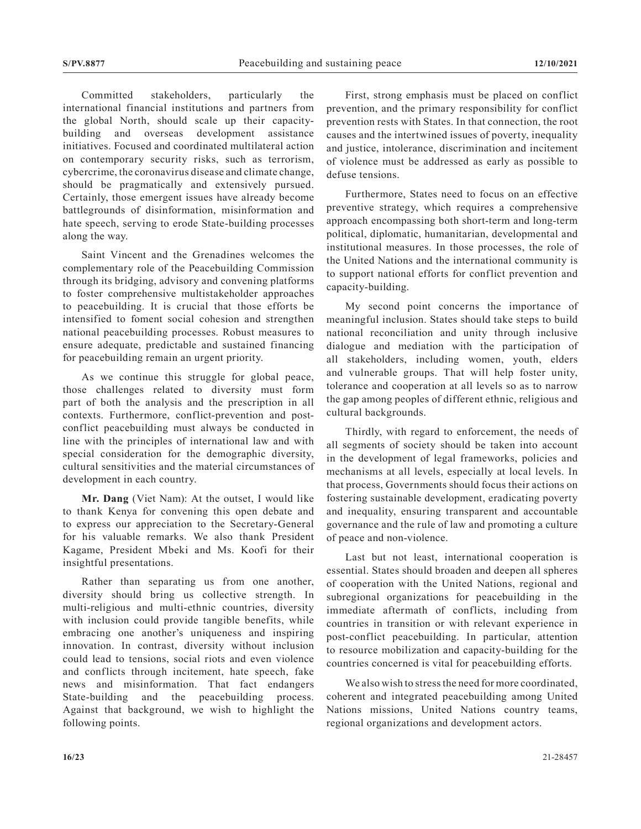Committed stakeholders, particularly the international financial institutions and partners from the global North, should scale up their capacitybuilding and overseas development assistance initiatives. Focused and coordinated multilateral action on contemporary security risks, such as terrorism, cybercrime, the coronavirus disease and climate change, should be pragmatically and extensively pursued. Certainly, those emergent issues have already become battlegrounds of disinformation, misinformation and hate speech, serving to erode State-building processes along the way.

Saint Vincent and the Grenadines welcomes the complementary role of the Peacebuilding Commission through its bridging, advisory and convening platforms to foster comprehensive multistakeholder approaches to peacebuilding. It is crucial that those efforts be intensified to foment social cohesion and strengthen national peacebuilding processes. Robust measures to ensure adequate, predictable and sustained financing for peacebuilding remain an urgent priority.

As we continue this struggle for global peace, those challenges related to diversity must form part of both the analysis and the prescription in all contexts. Furthermore, conflict-prevention and postconflict peacebuilding must always be conducted in line with the principles of international law and with special consideration for the demographic diversity, cultural sensitivities and the material circumstances of development in each country.

**Mr. Dang** (Viet Nam): At the outset, I would like to thank Kenya for convening this open debate and to express our appreciation to the Secretary-General for his valuable remarks. We also thank President Kagame, President Mbeki and Ms. Koofi for their insightful presentations.

Rather than separating us from one another, diversity should bring us collective strength. In multi-religious and multi-ethnic countries, diversity with inclusion could provide tangible benefits, while embracing one another's uniqueness and inspiring innovation. In contrast, diversity without inclusion could lead to tensions, social riots and even violence and conflicts through incitement, hate speech, fake news and misinformation. That fact endangers State-building and the peacebuilding process. Against that background, we wish to highlight the following points.

First, strong emphasis must be placed on conflict prevention, and the primary responsibility for conflict prevention rests with States. In that connection, the root causes and the intertwined issues of poverty, inequality and justice, intolerance, discrimination and incitement of violence must be addressed as early as possible to defuse tensions.

Furthermore, States need to focus on an effective preventive strategy, which requires a comprehensive approach encompassing both short-term and long-term political, diplomatic, humanitarian, developmental and institutional measures. In those processes, the role of the United Nations and the international community is to support national efforts for conflict prevention and capacity-building.

My second point concerns the importance of meaningful inclusion. States should take steps to build national reconciliation and unity through inclusive dialogue and mediation with the participation of all stakeholders, including women, youth, elders and vulnerable groups. That will help foster unity, tolerance and cooperation at all levels so as to narrow the gap among peoples of different ethnic, religious and cultural backgrounds.

Thirdly, with regard to enforcement, the needs of all segments of society should be taken into account in the development of legal frameworks, policies and mechanisms at all levels, especially at local levels. In that process, Governments should focus their actions on fostering sustainable development, eradicating poverty and inequality, ensuring transparent and accountable governance and the rule of law and promoting a culture of peace and non-violence.

Last but not least, international cooperation is essential. States should broaden and deepen all spheres of cooperation with the United Nations, regional and subregional organizations for peacebuilding in the immediate aftermath of conflicts, including from countries in transition or with relevant experience in post-conflict peacebuilding. In particular, attention to resource mobilization and capacity-building for the countries concerned is vital for peacebuilding efforts.

We also wish to stress the need for more coordinated. coherent and integrated peacebuilding among United Nations missions, United Nations country teams, regional organizations and development actors.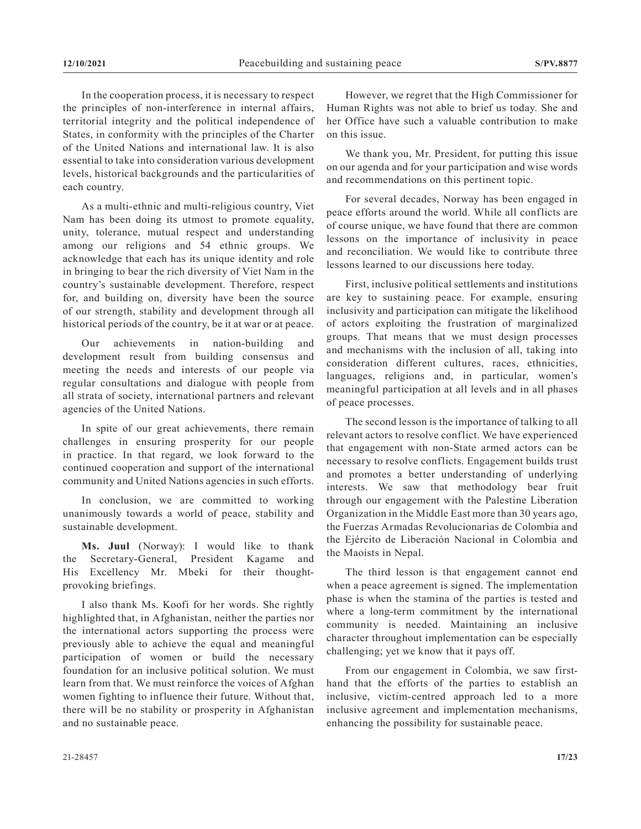In the cooperation process, it is necessary to respect the principles of non-interference in internal affairs, territorial integrity and the political independence of States, in conformity with the principles of the Charter of the United Nations and international law. It is also essential to take into consideration various development levels, historical backgrounds and the particularities of each country.

As a multi-ethnic and multi-religious country, Viet Nam has been doing its utmost to promote equality, unity, tolerance, mutual respect and understanding among our religions and 54 ethnic groups. We acknowledge that each has its unique identity and role in bringing to bear the rich diversity of Viet Nam in the country's sustainable development. Therefore, respect for, and building on, diversity have been the source of our strength, stability and development through all historical periods of the country, be it at war or at peace.

Our achievements in nation-building and development result from building consensus and meeting the needs and interests of our people via regular consultations and dialogue with people from all strata of society, international partners and relevant agencies of the United Nations.

In spite of our great achievements, there remain challenges in ensuring prosperity for our people in practice. In that regard, we look forward to the continued cooperation and support of the international community and United Nations agencies in such efforts.

In conclusion, we are committed to working unanimously towards a world of peace, stability and sustainable development.

**Ms. Juul** (Norway): I would like to thank the Secretary-General, President Kagame and His Excellency Mr. Mbeki for their thoughtprovoking briefings.

I also thank Ms. Koofi for her words. She rightly highlighted that, in Afghanistan, neither the parties nor the international actors supporting the process were previously able to achieve the equal and meaningful participation of women or build the necessary foundation for an inclusive political solution. We must learn from that. We must reinforce the voices of Afghan women fighting to influence their future. Without that, there will be no stability or prosperity in Afghanistan and no sustainable peace.

However, we regret that the High Commissioner for Human Rights was not able to brief us today. She and her Office have such a valuable contribution to make on this issue.

We thank you, Mr. President, for putting this issue on our agenda and for your participation and wise words and recommendations on this pertinent topic.

For several decades, Norway has been engaged in peace efforts around the world. While all conflicts are of course unique, we have found that there are common lessons on the importance of inclusivity in peace and reconciliation. We would like to contribute three lessons learned to our discussions here today.

First, inclusive political settlements and institutions are key to sustaining peace. For example, ensuring inclusivity and participation can mitigate the likelihood of actors exploiting the frustration of marginalized groups. That means that we must design processes and mechanisms with the inclusion of all, taking into consideration different cultures, races, ethnicities, languages, religions and, in particular, women's meaningful participation at all levels and in all phases of peace processes.

The second lesson is the importance of talking to all relevant actors to resolve conflict. We have experienced that engagement with non-State armed actors can be necessary to resolve conflicts. Engagement builds trust and promotes a better understanding of underlying interests. We saw that methodology bear fruit through our engagement with the Palestine Liberation Organization in the Middle East more than 30 years ago, the Fuerzas Armadas Revolucionarias de Colombia and the Ejército de Liberación Nacional in Colombia and the Maoists in Nepal.

The third lesson is that engagement cannot end when a peace agreement is signed. The implementation phase is when the stamina of the parties is tested and where a long-term commitment by the international community is needed. Maintaining an inclusive character throughout implementation can be especially challenging; yet we know that it pays off.

From our engagement in Colombia, we saw firsthand that the efforts of the parties to establish an inclusive, victim-centred approach led to a more inclusive agreement and implementation mechanisms, enhancing the possibility for sustainable peace.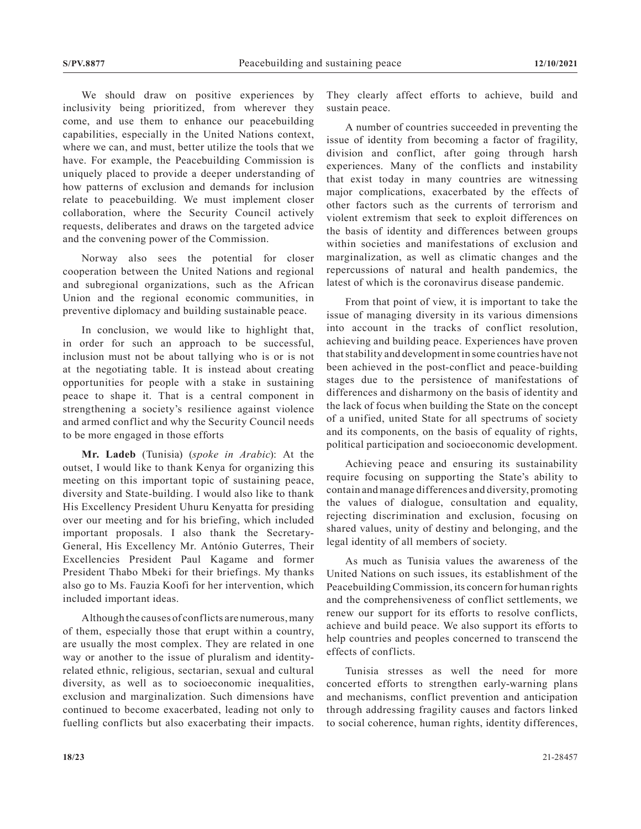We should draw on positive experiences by inclusivity being prioritized, from wherever they come, and use them to enhance our peacebuilding capabilities, especially in the United Nations context, where we can, and must, better utilize the tools that we have. For example, the Peacebuilding Commission is uniquely placed to provide a deeper understanding of how patterns of exclusion and demands for inclusion relate to peacebuilding. We must implement closer collaboration, where the Security Council actively requests, deliberates and draws on the targeted advice and the convening power of the Commission.

Norway also sees the potential for closer cooperation between the United Nations and regional and subregional organizations, such as the African Union and the regional economic communities, in preventive diplomacy and building sustainable peace.

In conclusion, we would like to highlight that, in order for such an approach to be successful, inclusion must not be about tallying who is or is not at the negotiating table. It is instead about creating opportunities for people with a stake in sustaining peace to shape it. That is a central component in strengthening a society's resilience against violence and armed conflict and why the Security Council needs to be more engaged in those efforts

**Mr. Ladeb** (Tunisia) (*spoke in Arabic*): At the outset, I would like to thank Kenya for organizing this meeting on this important topic of sustaining peace, diversity and State-building. I would also like to thank His Excellency President Uhuru Kenyatta for presiding over our meeting and for his briefing, which included important proposals. I also thank the Secretary-General, His Excellency Mr. António Guterres, Their Excellencies President Paul Kagame and former President Thabo Mbeki for their briefings. My thanks also go to Ms. Fauzia Koofi for her intervention, which included important ideas.

Although the causes of conflicts are numerous, many of them, especially those that erupt within a country, are usually the most complex. They are related in one way or another to the issue of pluralism and identityrelated ethnic, religious, sectarian, sexual and cultural diversity, as well as to socioeconomic inequalities, exclusion and marginalization. Such dimensions have continued to become exacerbated, leading not only to fuelling conflicts but also exacerbating their impacts. They clearly affect efforts to achieve, build and sustain peace.

A number of countries succeeded in preventing the issue of identity from becoming a factor of fragility, division and conflict, after going through harsh experiences. Many of the conflicts and instability that exist today in many countries are witnessing major complications, exacerbated by the effects of other factors such as the currents of terrorism and violent extremism that seek to exploit differences on the basis of identity and differences between groups within societies and manifestations of exclusion and marginalization, as well as climatic changes and the repercussions of natural and health pandemics, the latest of which is the coronavirus disease pandemic.

From that point of view, it is important to take the issue of managing diversity in its various dimensions into account in the tracks of conflict resolution, achieving and building peace. Experiences have proven that stability and development in some countries have not been achieved in the post-conflict and peace-building stages due to the persistence of manifestations of differences and disharmony on the basis of identity and the lack of focus when building the State on the concept of a unified, united State for all spectrums of society and its components, on the basis of equality of rights, political participation and socioeconomic development.

Achieving peace and ensuring its sustainability require focusing on supporting the State's ability to contain and manage differences and diversity, promoting the values of dialogue, consultation and equality, rejecting discrimination and exclusion, focusing on shared values, unity of destiny and belonging, and the legal identity of all members of society.

As much as Tunisia values the awareness of the United Nations on such issues, its establishment of the Peacebuilding Commission, its concern for human rights and the comprehensiveness of conflict settlements, we renew our support for its efforts to resolve conflicts, achieve and build peace. We also support its efforts to help countries and peoples concerned to transcend the effects of conflicts.

Tunisia stresses as well the need for more concerted efforts to strengthen early-warning plans and mechanisms, conflict prevention and anticipation through addressing fragility causes and factors linked to social coherence, human rights, identity differences,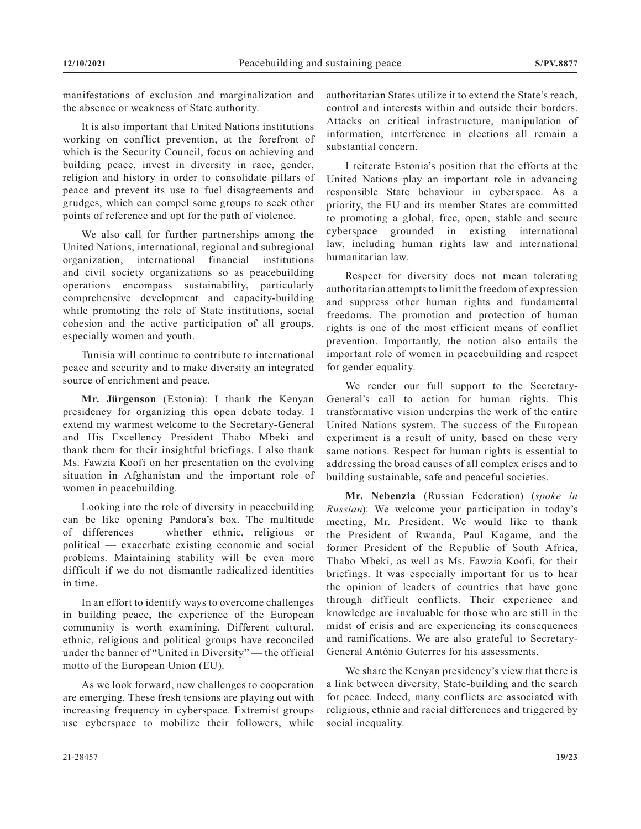manifestations of exclusion and marginalization and the absence or weakness of State authority.

It is also important that United Nations institutions working on conflict prevention, at the forefront of which is the Security Council, focus on achieving and building peace, invest in diversity in race, gender, religion and history in order to consolidate pillars of peace and prevent its use to fuel disagreements and grudges, which can compel some groups to seek other points of reference and opt for the path of violence.

We also call for further partnerships among the United Nations, international, regional and subregional organization, international financial institutions and civil society organizations so as peacebuilding operations encompass sustainability, particularly comprehensive development and capacity-building while promoting the role of State institutions, social cohesion and the active participation of all groups, especially women and youth.

Tunisia will continue to contribute to international peace and security and to make diversity an integrated source of enrichment and peace.

**Mr. Jürgenson** (Estonia): I thank the Kenyan presidency for organizing this open debate today. I extend my warmest welcome to the Secretary-General and His Excellency President Thabo Mbeki and thank them for their insightful briefings. I also thank Ms. Fawzia Koofi on her presentation on the evolving situation in Afghanistan and the important role of women in peacebuilding.

Looking into the role of diversity in peacebuilding can be like opening Pandora's box. The multitude of differences — whether ethnic, religious or political — exacerbate existing economic and social problems. Maintaining stability will be even more difficult if we do not dismantle radicalized identities in time.

In an effort to identify ways to overcome challenges in building peace, the experience of the European community is worth examining. Different cultural, ethnic, religious and political groups have reconciled under the banner of "United in Diversity" — the official motto of the European Union (EU).

As we look forward, new challenges to cooperation are emerging. These fresh tensions are playing out with increasing frequency in cyberspace. Extremist groups use cyberspace to mobilize their followers, while authoritarian States utilize it to extend the State's reach, control and interests within and outside their borders. Attacks on critical infrastructure, manipulation of information, interference in elections all remain a substantial concern.

I reiterate Estonia's position that the efforts at the United Nations play an important role in advancing responsible State behaviour in cyberspace. As a priority, the EU and its member States are committed to promoting a global, free, open, stable and secure cyberspace grounded in existing international law, including human rights law and international humanitarian law.

Respect for diversity does not mean tolerating authoritarian attempts to limit the freedom of expression and suppress other human rights and fundamental freedoms. The promotion and protection of human rights is one of the most efficient means of conflict prevention. Importantly, the notion also entails the important role of women in peacebuilding and respect for gender equality.

We render our full support to the Secretary-General's call to action for human rights. This transformative vision underpins the work of the entire United Nations system. The success of the European experiment is a result of unity, based on these very same notions. Respect for human rights is essential to addressing the broad causes of all complex crises and to building sustainable, safe and peaceful societies.

**Mr. Nebenzia** (Russian Federation) (*spoke in Russian*): We welcome your participation in today's meeting, Mr. President. We would like to thank the President of Rwanda, Paul Kagame, and the former President of the Republic of South Africa, Thabo Mbeki, as well as Ms. Fawzia Koofi, for their briefings. It was especially important for us to hear the opinion of leaders of countries that have gone through difficult conflicts. Their experience and knowledge are invaluable for those who are still in the midst of crisis and are experiencing its consequences and ramifications. We are also grateful to Secretary-General António Guterres for his assessments.

We share the Kenyan presidency's view that there is a link between diversity, State-building and the search for peace. Indeed, many conflicts are associated with religious, ethnic and racial differences and triggered by social inequality.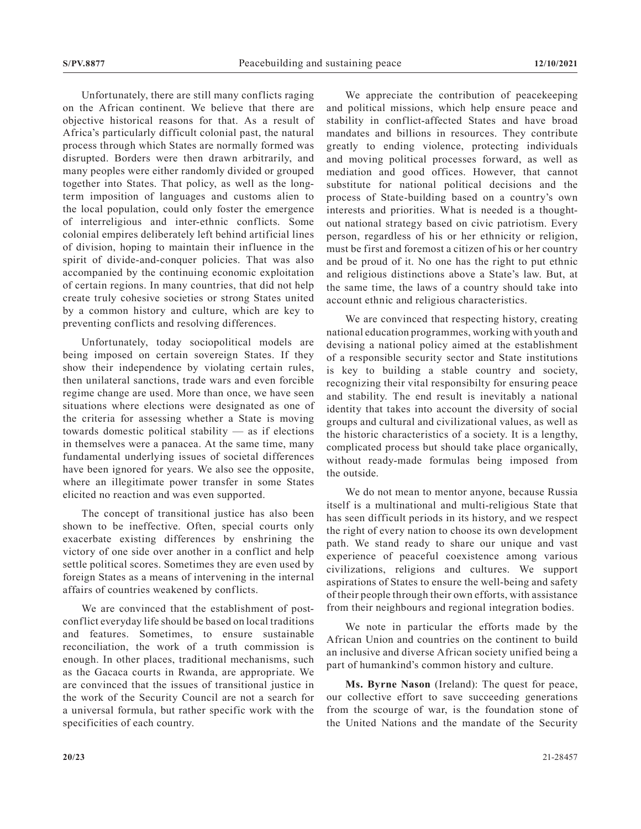Unfortunately, there are still many conflicts raging on the African continent. We believe that there are objective historical reasons for that. As a result of Africa's particularly difficult colonial past, the natural process through which States are normally formed was disrupted. Borders were then drawn arbitrarily, and many peoples were either randomly divided or grouped together into States. That policy, as well as the longterm imposition of languages and customs alien to the local population, could only foster the emergence of interreligious and inter-ethnic conflicts. Some colonial empires deliberately left behind artificial lines of division, hoping to maintain their influence in the spirit of divide-and-conquer policies. That was also accompanied by the continuing economic exploitation of certain regions. In many countries, that did not help create truly cohesive societies or strong States united by a common history and culture, which are key to preventing conflicts and resolving differences.

Unfortunately, today sociopolitical models are being imposed on certain sovereign States. If they show their independence by violating certain rules, then unilateral sanctions, trade wars and even forcible regime change are used. More than once, we have seen situations where elections were designated as one of the criteria for assessing whether a State is moving towards domestic political stability — as if elections in themselves were a panacea. At the same time, many fundamental underlying issues of societal differences have been ignored for years. We also see the opposite, where an illegitimate power transfer in some States elicited no reaction and was even supported.

The concept of transitional justice has also been shown to be ineffective. Often, special courts only exacerbate existing differences by enshrining the victory of one side over another in a conflict and help settle political scores. Sometimes they are even used by foreign States as a means of intervening in the internal affairs of countries weakened by conflicts.

We are convinced that the establishment of postconflict everyday life should be based on local traditions and features. Sometimes, to ensure sustainable reconciliation, the work of a truth commission is enough. In other places, traditional mechanisms, such as the Gacaca courts in Rwanda, are appropriate. We are convinced that the issues of transitional justice in the work of the Security Council are not a search for a universal formula, but rather specific work with the specificities of each country.

We appreciate the contribution of peacekeeping and political missions, which help ensure peace and stability in conflict-affected States and have broad mandates and billions in resources. They contribute greatly to ending violence, protecting individuals and moving political processes forward, as well as mediation and good offices. However, that cannot substitute for national political decisions and the process of State-building based on a country's own interests and priorities. What is needed is a thoughtout national strategy based on civic patriotism. Every person, regardless of his or her ethnicity or religion, must be first and foremost a citizen of his or her country and be proud of it. No one has the right to put ethnic and religious distinctions above a State's law. But, at the same time, the laws of a country should take into account ethnic and religious characteristics.

We are convinced that respecting history, creating national education programmes, working with youth and devising a national policy aimed at the establishment of a responsible security sector and State institutions is key to building a stable country and society, recognizing their vital responsibilty for ensuring peace and stability. The end result is inevitably a national identity that takes into account the diversity of social groups and cultural and civilizational values, as well as the historic characteristics of a society. It is a lengthy, complicated process but should take place organically, without ready-made formulas being imposed from the outside.

We do not mean to mentor anyone, because Russia itself is a multinational and multi-religious State that has seen difficult periods in its history, and we respect the right of every nation to choose its own development path. We stand ready to share our unique and vast experience of peaceful coexistence among various civilizations, religions and cultures. We support aspirations of States to ensure the well-being and safety of their people through their own efforts, with assistance from their neighbours and regional integration bodies.

We note in particular the efforts made by the African Union and countries on the continent to build an inclusive and diverse African society unified being a part of humankind's common history and culture.

**Ms. Byrne Nason** (Ireland): The quest for peace, our collective effort to save succeeding generations from the scourge of war, is the foundation stone of the United Nations and the mandate of the Security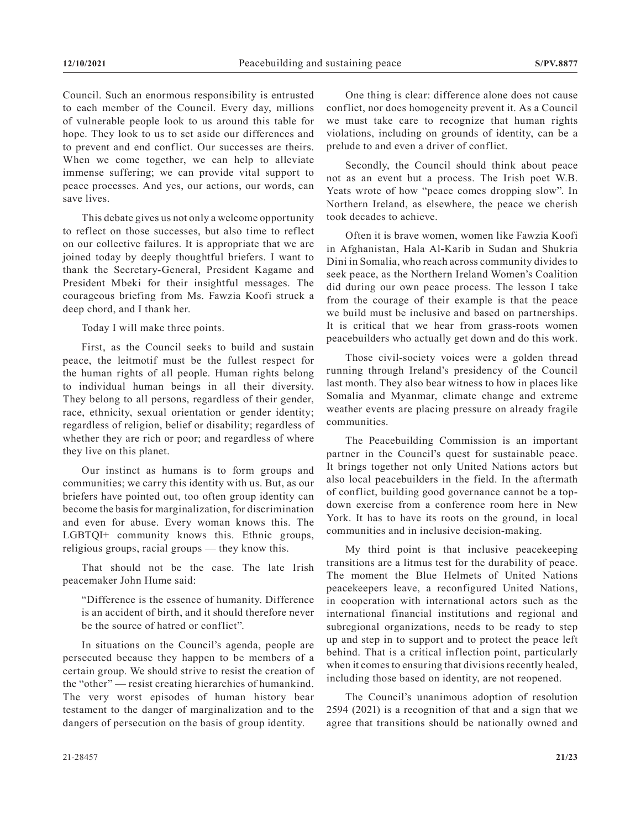Council. Such an enormous responsibility is entrusted to each member of the Council. Every day, millions of vulnerable people look to us around this table for hope. They look to us to set aside our differences and to prevent and end conflict. Our successes are theirs. When we come together, we can help to alleviate immense suffering; we can provide vital support to peace processes. And yes, our actions, our words, can save lives.

This debate gives us not only a welcome opportunity to reflect on those successes, but also time to reflect on our collective failures. It is appropriate that we are joined today by deeply thoughtful briefers. I want to thank the Secretary-General, President Kagame and President Mbeki for their insightful messages. The courageous briefing from Ms. Fawzia Koofi struck a deep chord, and I thank her.

Today I will make three points.

First, as the Council seeks to build and sustain peace, the leitmotif must be the fullest respect for the human rights of all people. Human rights belong to individual human beings in all their diversity. They belong to all persons, regardless of their gender, race, ethnicity, sexual orientation or gender identity; regardless of religion, belief or disability; regardless of whether they are rich or poor; and regardless of where they live on this planet.

Our instinct as humans is to form groups and communities; we carry this identity with us. But, as our briefers have pointed out, too often group identity can become the basis for marginalization, for discrimination and even for abuse. Every woman knows this. The LGBTQI+ community knows this. Ethnic groups, religious groups, racial groups — they know this.

That should not be the case. The late Irish peacemaker John Hume said:

"Difference is the essence of humanity. Difference is an accident of birth, and it should therefore never be the source of hatred or conflict".

In situations on the Council's agenda, people are persecuted because they happen to be members of a certain group. We should strive to resist the creation of the "other" — resist creating hierarchies of humankind. The very worst episodes of human history bear testament to the danger of marginalization and to the dangers of persecution on the basis of group identity.

One thing is clear: difference alone does not cause conflict, nor does homogeneity prevent it. As a Council we must take care to recognize that human rights violations, including on grounds of identity, can be a prelude to and even a driver of conflict.

Secondly, the Council should think about peace not as an event but a process. The Irish poet W.B. Yeats wrote of how "peace comes dropping slow". In Northern Ireland, as elsewhere, the peace we cherish took decades to achieve.

Often it is brave women, women like Fawzia Koofi in Afghanistan, Hala Al-Karib in Sudan and Shukria Dini in Somalia, who reach across community divides to seek peace, as the Northern Ireland Women's Coalition did during our own peace process. The lesson I take from the courage of their example is that the peace we build must be inclusive and based on partnerships. It is critical that we hear from grass-roots women peacebuilders who actually get down and do this work.

Those civil-society voices were a golden thread running through Ireland's presidency of the Council last month. They also bear witness to how in places like Somalia and Myanmar, climate change and extreme weather events are placing pressure on already fragile communities.

The Peacebuilding Commission is an important partner in the Council's quest for sustainable peace. It brings together not only United Nations actors but also local peacebuilders in the field. In the aftermath of conflict, building good governance cannot be a topdown exercise from a conference room here in New York. It has to have its roots on the ground, in local communities and in inclusive decision-making.

My third point is that inclusive peacekeeping transitions are a litmus test for the durability of peace. The moment the Blue Helmets of United Nations peacekeepers leave, a reconfigured United Nations, in cooperation with international actors such as the international financial institutions and regional and subregional organizations, needs to be ready to step up and step in to support and to protect the peace left behind. That is a critical inflection point, particularly when it comes to ensuring that divisions recently healed, including those based on identity, are not reopened.

The Council's unanimous adoption of resolution 2594 (2021) is a recognition of that and a sign that we agree that transitions should be nationally owned and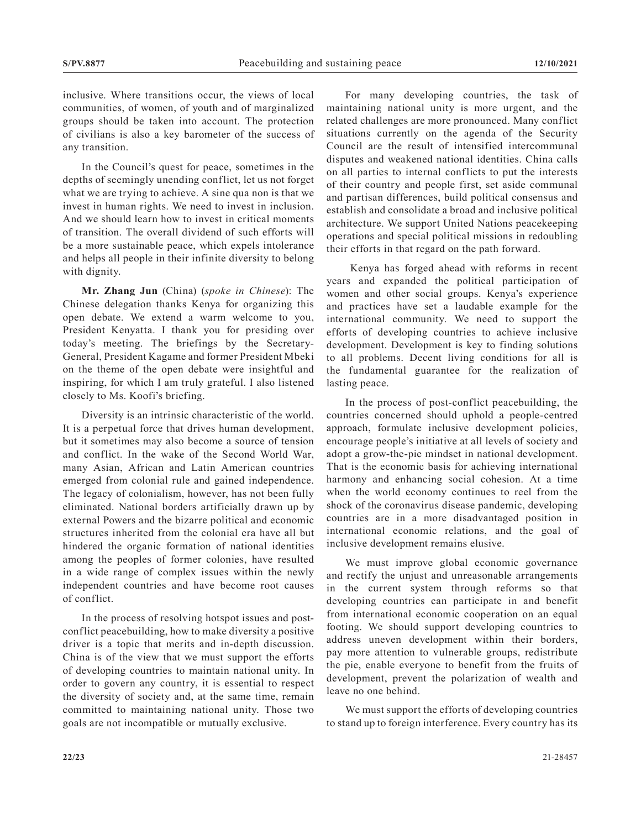inclusive. Where transitions occur, the views of local communities, of women, of youth and of marginalized groups should be taken into account. The protection of civilians is also a key barometer of the success of any transition.

In the Council's quest for peace, sometimes in the depths of seemingly unending conflict, let us not forget what we are trying to achieve. A sine qua non is that we invest in human rights. We need to invest in inclusion. And we should learn how to invest in critical moments of transition. The overall dividend of such efforts will be a more sustainable peace, which expels intolerance and helps all people in their infinite diversity to belong with dignity.

**Mr. Zhang Jun** (China) (*spoke in Chinese*): The Chinese delegation thanks Kenya for organizing this open debate. We extend a warm welcome to you, President Kenyatta. I thank you for presiding over today's meeting. The briefings by the Secretary-General, President Kagame and former President Mbeki on the theme of the open debate were insightful and inspiring, for which I am truly grateful. I also listened closely to Ms. Koofi's briefing.

Diversity is an intrinsic characteristic of the world. It is a perpetual force that drives human development, but it sometimes may also become a source of tension and conflict. In the wake of the Second World War, many Asian, African and Latin American countries emerged from colonial rule and gained independence. The legacy of colonialism, however, has not been fully eliminated. National borders artificially drawn up by external Powers and the bizarre political and economic structures inherited from the colonial era have all but hindered the organic formation of national identities among the peoples of former colonies, have resulted in a wide range of complex issues within the newly independent countries and have become root causes of conflict.

In the process of resolving hotspot issues and postconflict peacebuilding, how to make diversity a positive driver is a topic that merits and in-depth discussion. China is of the view that we must support the efforts of developing countries to maintain national unity. In order to govern any country, it is essential to respect the diversity of society and, at the same time, remain committed to maintaining national unity. Those two goals are not incompatible or mutually exclusive.

For many developing countries, the task of maintaining national unity is more urgent, and the related challenges are more pronounced. Many conflict situations currently on the agenda of the Security Council are the result of intensified intercommunal disputes and weakened national identities. China calls on all parties to internal conflicts to put the interests of their country and people first, set aside communal and partisan differences, build political consensus and establish and consolidate a broad and inclusive political architecture. We support United Nations peacekeeping operations and special political missions in redoubling their efforts in that regard on the path forward.

 Kenya has forged ahead with reforms in recent years and expanded the political participation of women and other social groups. Kenya's experience and practices have set a laudable example for the international community. We need to support the efforts of developing countries to achieve inclusive development. Development is key to finding solutions to all problems. Decent living conditions for all is the fundamental guarantee for the realization of lasting peace.

In the process of post-conflict peacebuilding, the countries concerned should uphold a people-centred approach, formulate inclusive development policies, encourage people's initiative at all levels of society and adopt a grow-the-pie mindset in national development. That is the economic basis for achieving international harmony and enhancing social cohesion. At a time when the world economy continues to reel from the shock of the coronavirus disease pandemic, developing countries are in a more disadvantaged position in international economic relations, and the goal of inclusive development remains elusive.

We must improve global economic governance and rectify the unjust and unreasonable arrangements in the current system through reforms so that developing countries can participate in and benefit from international economic cooperation on an equal footing. We should support developing countries to address uneven development within their borders, pay more attention to vulnerable groups, redistribute the pie, enable everyone to benefit from the fruits of development, prevent the polarization of wealth and leave no one behind.

We must support the efforts of developing countries to stand up to foreign interference. Every country has its